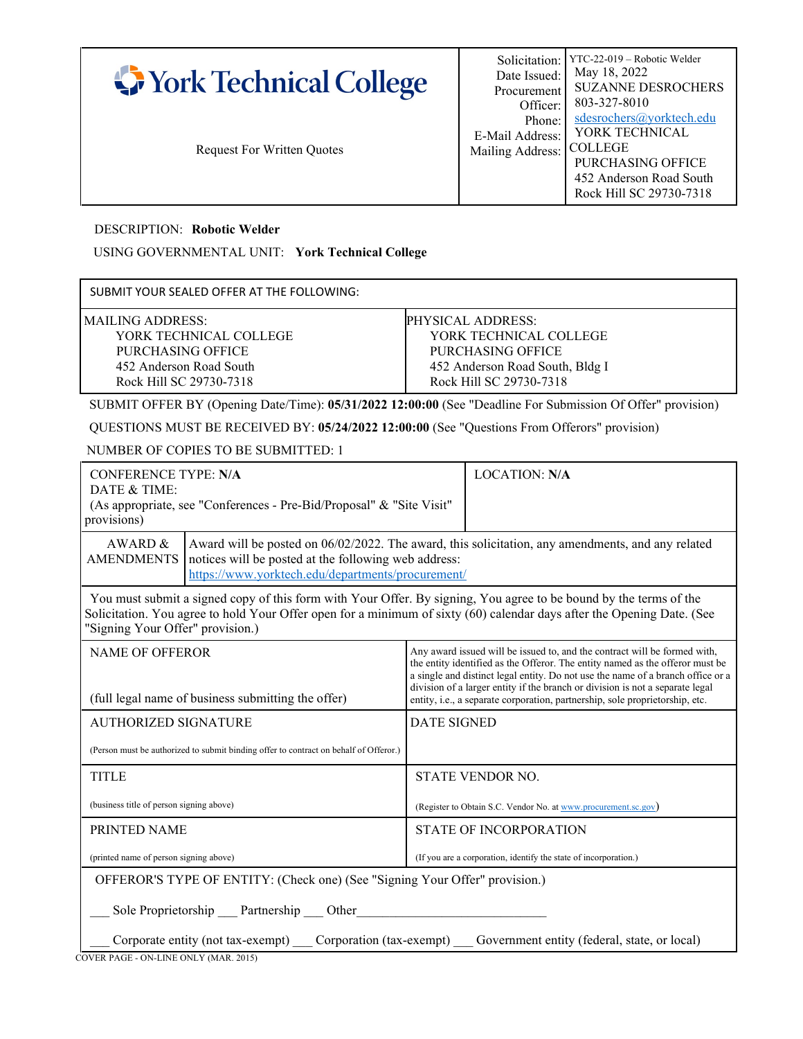| <b>COLLEGE</b><br><b>Request For Written Quotes</b><br>Mailing Address:<br><b>PURCHASING OFFICE</b><br>452 Anderson Road South<br>Rock Hill SC 29730-7318 | York Technical College | Date Issued:<br>Procurement<br>Officer:<br>Phone:<br>E-Mail Address: | May 18, 2022<br><b>SUZANNE DESROCHERS</b><br>803-327-8010<br>sdesrochers@yorktech.edu<br>YORK TECHNICAL |
|-----------------------------------------------------------------------------------------------------------------------------------------------------------|------------------------|----------------------------------------------------------------------|---------------------------------------------------------------------------------------------------------|
|-----------------------------------------------------------------------------------------------------------------------------------------------------------|------------------------|----------------------------------------------------------------------|---------------------------------------------------------------------------------------------------------|

DESCRIPTION: **Robotic Welder**

USING GOVERNMENTAL UNIT: **York Technical College**

| SUBMIT YOUR SEALED OFFER AT THE FOLLOWING:                                                                            |                                                                                                                                |  |  |  |
|-----------------------------------------------------------------------------------------------------------------------|--------------------------------------------------------------------------------------------------------------------------------|--|--|--|
| MAILING ADDRESS:<br>YORK TECHNICAL COLLEGE<br>PURCHASING OFFICE<br>452 Anderson Road South<br>Rock Hill SC 29730-7318 | PHYSICAL ADDRESS:<br>YORK TECHNICAL COLLEGE<br>PURCHASING OFFICE<br>452 Anderson Road South, Bldg I<br>Rock Hill SC 29730-7318 |  |  |  |
| SUBMIT OFFER BY (Opening Date/Time): 05/31/2022 12:00:00 (See "Deadline For Submission Of Offer" provision)           |                                                                                                                                |  |  |  |
| QUESTIONS MUST BE RECEIVED BY: 05/24/2022 12:00:00 (See "Questions From Offerors" provision)                          |                                                                                                                                |  |  |  |

NUMBER OF COPIES TO BE SUBMITTED: 1

| <b>CONFERENCE TYPE: N/A</b><br>DATE & TIME:<br>provisions)                                                                                                                                                                                                                                                                                                                                                                                                                                     | (As appropriate, see "Conferences - Pre-Bid/Proposal" & "Site Visit"        |                                                                | <b>LOCATION: N/A</b>                                             |  |
|------------------------------------------------------------------------------------------------------------------------------------------------------------------------------------------------------------------------------------------------------------------------------------------------------------------------------------------------------------------------------------------------------------------------------------------------------------------------------------------------|-----------------------------------------------------------------------------|----------------------------------------------------------------|------------------------------------------------------------------|--|
| AWARD &<br>Award will be posted on 06/02/2022. The award, this solicitation, any amendments, and any related<br><b>AMENDMENTS</b><br>notices will be posted at the following web address:<br>https://www.yorktech.edu/departments/procurement/                                                                                                                                                                                                                                                 |                                                                             |                                                                |                                                                  |  |
| You must submit a signed copy of this form with Your Offer. By signing, You agree to be bound by the terms of the<br>Solicitation. You agree to hold Your Offer open for a minimum of sixty (60) calendar days after the Opening Date. (See<br>"Signing Your Offer" provision.)                                                                                                                                                                                                                |                                                                             |                                                                |                                                                  |  |
| Any award issued will be issued to, and the contract will be formed with,<br><b>NAME OF OFFEROR</b><br>the entity identified as the Offeror. The entity named as the offeror must be<br>a single and distinct legal entity. Do not use the name of a branch office or a<br>division of a larger entity if the branch or division is not a separate legal<br>(full legal name of business submitting the offer)<br>entity, i.e., a separate corporation, partnership, sole proprietorship, etc. |                                                                             |                                                                |                                                                  |  |
| <b>AUTHORIZED SIGNATURE</b>                                                                                                                                                                                                                                                                                                                                                                                                                                                                    |                                                                             | <b>DATE SIGNED</b>                                             |                                                                  |  |
| (Person must be authorized to submit binding offer to contract on behalf of Offeror.)                                                                                                                                                                                                                                                                                                                                                                                                          |                                                                             |                                                                |                                                                  |  |
| <b>TITLE</b>                                                                                                                                                                                                                                                                                                                                                                                                                                                                                   |                                                                             | <b>STATE VENDOR NO.</b>                                        |                                                                  |  |
| (business title of person signing above)                                                                                                                                                                                                                                                                                                                                                                                                                                                       |                                                                             | (Register to Obtain S.C. Vendor No. at www.procurement.sc.gov) |                                                                  |  |
| PRINTED NAME                                                                                                                                                                                                                                                                                                                                                                                                                                                                                   |                                                                             |                                                                | <b>STATE OF INCORPORATION</b>                                    |  |
| (printed name of person signing above)                                                                                                                                                                                                                                                                                                                                                                                                                                                         |                                                                             |                                                                | (If you are a corporation, identify the state of incorporation.) |  |
|                                                                                                                                                                                                                                                                                                                                                                                                                                                                                                | OFFEROR'S TYPE OF ENTITY: (Check one) (See "Signing Your Offer" provision.) |                                                                |                                                                  |  |
| Sole Proprietorship Partnership Other<br>Corporate entity (not tax-exempt) Corporation (tax-exempt) Covernment entity (federal, state, or local)                                                                                                                                                                                                                                                                                                                                               |                                                                             |                                                                |                                                                  |  |

COVER PAGE - ON-LINE ONLY (MAR. 2015)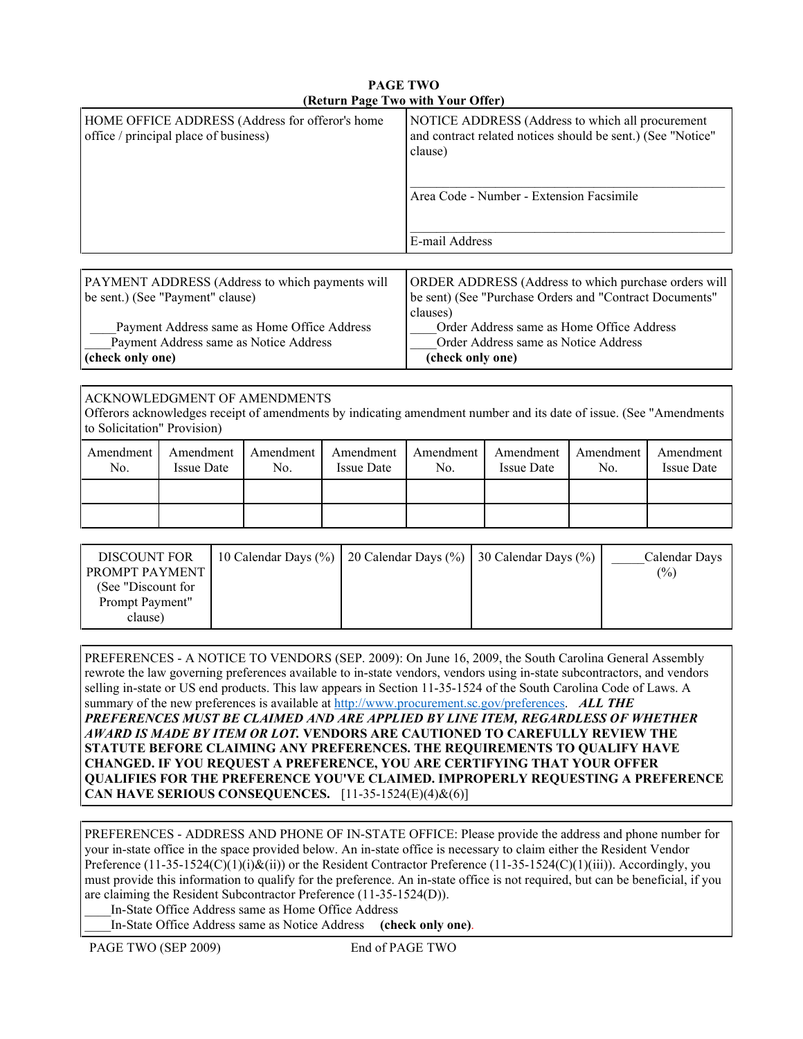|                                                                                          | $\mu$ and $\mu$ and $\mu$ and $\mu$ and $\mu$                                                                               |
|------------------------------------------------------------------------------------------|-----------------------------------------------------------------------------------------------------------------------------|
| HOME OFFICE ADDRESS (Address for offeror's home<br>office / principal place of business) | NOTICE ADDRESS (Address to which all procurement<br>and contract related notices should be sent.) (See "Notice"<br>clause)  |
|                                                                                          | Area Code - Number - Extension Facsimile<br>E-mail Address                                                                  |
|                                                                                          |                                                                                                                             |
| PAYMENT ADDRESS (Address to which payments will<br>be sent.) (See "Payment" clause)      | ORDER ADDRESS (Address to which purchase orders will<br>be sent) (See "Purchase Orders and "Contract Documents"<br>clauses) |

## **PAGE TWO (Return Page Two with Your Offer)**

Payment Address same as Home Office Address Payment Address same as Notice Address **(check only one)**

clauses) \_\_\_\_Order Address same as Home Office Address \_\_\_\_Order Address same as Notice Address **(check only one)**

## ACKNOWLEDGMENT OF AMENDMENTS

Offerors acknowledges receipt of amendments by indicating amendment number and its date of issue. (See "Amendments to Solicitation" Provision)

| Amendment  <br>No. | Amendment<br>Issue Date | Amendment  <br>No. | <b>Issue Date</b> | No. | Amendment   Amendment   Amendment   Amendment  <br>Issue Date | No. | Amendment<br><b>Issue Date</b> |
|--------------------|-------------------------|--------------------|-------------------|-----|---------------------------------------------------------------|-----|--------------------------------|
|                    |                         |                    |                   |     |                                                               |     |                                |
|                    |                         |                    |                   |     |                                                               |     |                                |

| <b>DISCOUNT FOR</b><br><b>PROMPT PAYMENT</b> | 10 Calendar Days $(\% )$   20 Calendar Days $(\% )$   30 Calendar Days $(\% )$ | Calendar Days<br>$\frac{6}{2}$ |
|----------------------------------------------|--------------------------------------------------------------------------------|--------------------------------|
| (See "Discount for                           |                                                                                |                                |
| Prompt Payment"                              |                                                                                |                                |
| clause)                                      |                                                                                |                                |

PREFERENCES - A NOTICE TO VENDORS (SEP. 2009): On June 16, 2009, the South Carolina General Assembly rewrote the law governing preferences available to in-state vendors, vendors using in-state subcontractors, and vendors selling in-state or US end products. This law appears in Section 11-35-1524 of the South Carolina Code of Laws. A summary of the new preferences is available at [http://www.procurement.sc.gov/preferences.](http://www.procurement.sc.gov/preferences) *ALL THE PREFERENCES MUST BE CLAIMED AND ARE APPLIED BY LINE ITEM, REGARDLESS OF WHETHER AWARD IS MADE BY ITEM OR LOT.* **VENDORS ARE CAUTIONED TO CAREFULLY REVIEW THE STATUTE BEFORE CLAIMING ANY PREFERENCES. THE REQUIREMENTS TO QUALIFY HAVE CHANGED. IF YOU REQUEST A PREFERENCE, YOU ARE CERTIFYING THAT YOUR OFFER QUALIFIES FOR THE PREFERENCE YOU'VE CLAIMED. IMPROPERLY REQUESTING A PREFERENCE CAN HAVE SERIOUS CONSEQUENCES.** [11-35-1524(E)(4)&(6)]

PREFERENCES - ADDRESS AND PHONE OF IN-STATE OFFICE: Please provide the address and phone number for your in-state office in the space provided below. An in-state office is necessary to claim either the Resident Vendor Preference  $(11-35-1524(C)(1)(i)\&(i))$  or the Resident Contractor Preference  $(11-35-1524(C)(1)(iii))$ . Accordingly, you must provide this information to qualify for the preference. An in-state office is not required, but can be beneficial, if you are claiming the Resident Subcontractor Preference (11-35-1524(D)).

\_\_\_\_In-State Office Address same as Home Office Address

\_\_\_\_In-State Office Address same as Notice Address **(check only one)**.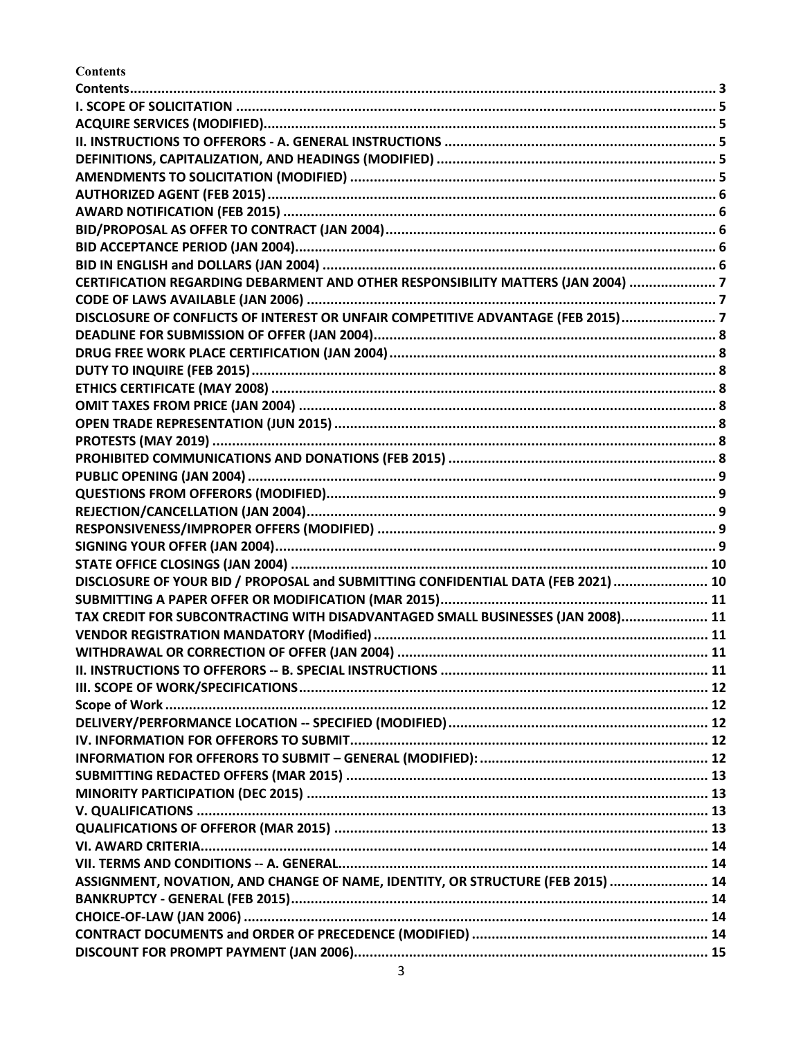<span id="page-2-0"></span>**Contents** 

| CERTIFICATION REGARDING DEBARMENT AND OTHER RESPONSIBILITY MATTERS (JAN 2004)  7  |  |
|-----------------------------------------------------------------------------------|--|
|                                                                                   |  |
| DISCLOSURE OF CONFLICTS OF INTEREST OR UNFAIR COMPETITIVE ADVANTAGE (FEB 2015)7   |  |
|                                                                                   |  |
|                                                                                   |  |
|                                                                                   |  |
|                                                                                   |  |
|                                                                                   |  |
|                                                                                   |  |
|                                                                                   |  |
|                                                                                   |  |
|                                                                                   |  |
|                                                                                   |  |
|                                                                                   |  |
|                                                                                   |  |
|                                                                                   |  |
|                                                                                   |  |
| DISCLOSURE OF YOUR BID / PROPOSAL and SUBMITTING CONFIDENTIAL DATA (FEB 2021)  10 |  |
|                                                                                   |  |
| TAX CREDIT FOR SUBCONTRACTING WITH DISADVANTAGED SMALL BUSINESSES (JAN 2008) 11   |  |
|                                                                                   |  |
|                                                                                   |  |
|                                                                                   |  |
|                                                                                   |  |
|                                                                                   |  |
|                                                                                   |  |
|                                                                                   |  |
|                                                                                   |  |
|                                                                                   |  |
|                                                                                   |  |
|                                                                                   |  |
|                                                                                   |  |
|                                                                                   |  |
|                                                                                   |  |
| ASSIGNMENT, NOVATION, AND CHANGE OF NAME, IDENTITY, OR STRUCTURE (FEB 2015)  14   |  |
|                                                                                   |  |
|                                                                                   |  |
|                                                                                   |  |
|                                                                                   |  |
|                                                                                   |  |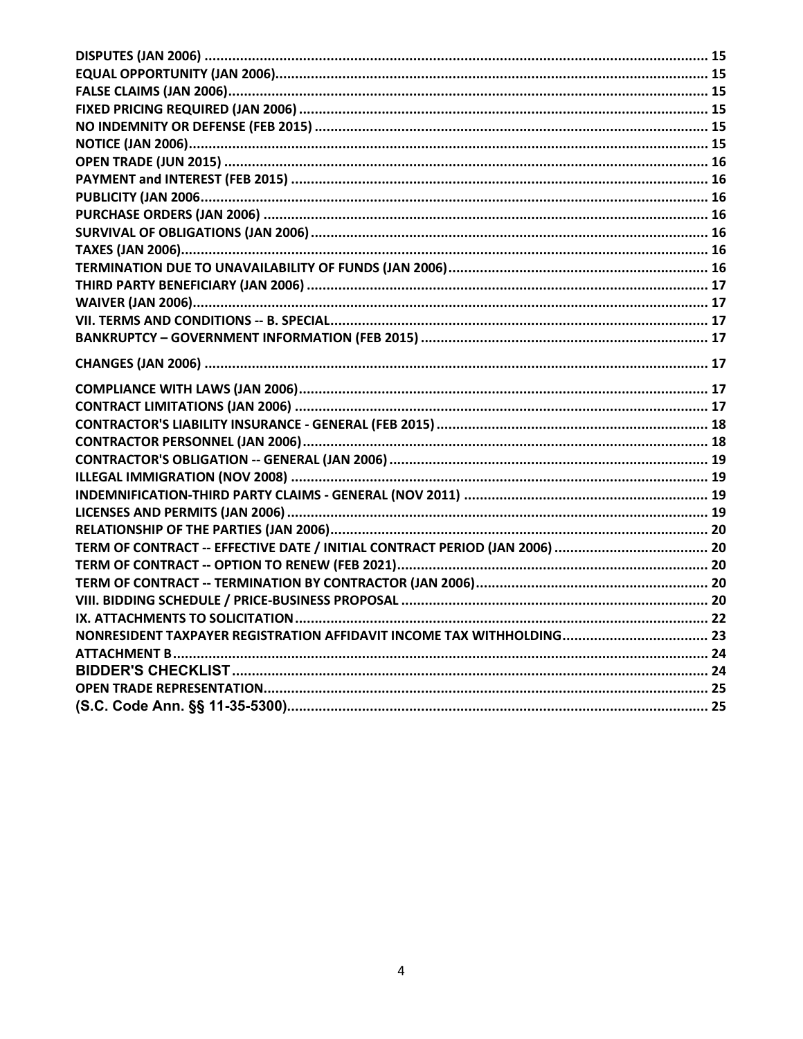| NONRESIDENT TAXPAYER REGISTRATION AFFIDAVIT INCOME TAX WITHHOLDING 23 |  |
|-----------------------------------------------------------------------|--|
|                                                                       |  |
|                                                                       |  |
|                                                                       |  |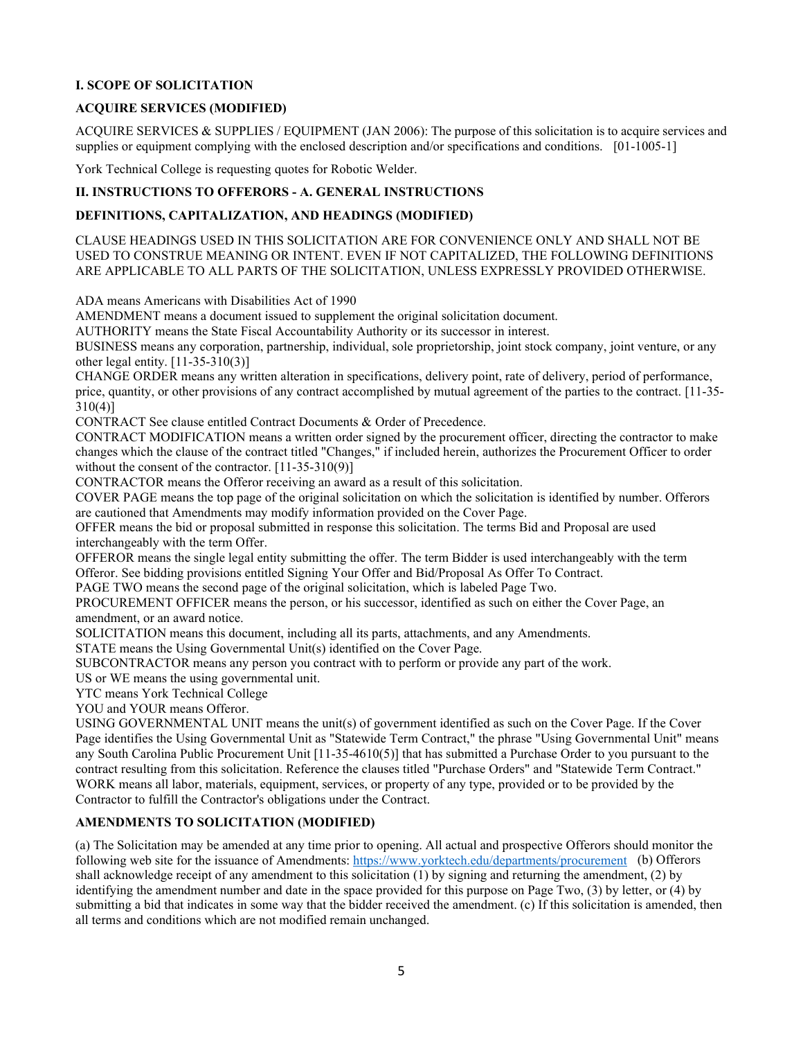#### <span id="page-4-0"></span>**I. SCOPE OF SOLICITATION**

## <span id="page-4-1"></span>**ACQUIRE SERVICES (MODIFIED)**

ACQUIRE SERVICES & SUPPLIES / EQUIPMENT (JAN 2006): The purpose of this solicitation is to acquire services and supplies or equipment complying with the enclosed description and/or specifications and conditions. [01-1005-1]

York Technical College is requesting quotes for Robotic Welder.

## <span id="page-4-2"></span>**II. INSTRUCTIONS TO OFFERORS - A. GENERAL INSTRUCTIONS**

#### <span id="page-4-3"></span>**DEFINITIONS, CAPITALIZATION, AND HEADINGS (MODIFIED)**

CLAUSE HEADINGS USED IN THIS SOLICITATION ARE FOR CONVENIENCE ONLY AND SHALL NOT BE USED TO CONSTRUE MEANING OR INTENT. EVEN IF NOT CAPITALIZED, THE FOLLOWING DEFINITIONS ARE APPLICABLE TO ALL PARTS OF THE SOLICITATION, UNLESS EXPRESSLY PROVIDED OTHERWISE.

ADA means Americans with Disabilities Act of 1990

AMENDMENT means a document issued to supplement the original solicitation document.

AUTHORITY means the State Fiscal Accountability Authority or its successor in interest.

BUSINESS means any corporation, partnership, individual, sole proprietorship, joint stock company, joint venture, or any other legal entity. [11-35-310(3)]

CHANGE ORDER means any written alteration in specifications, delivery point, rate of delivery, period of performance, price, quantity, or other provisions of any contract accomplished by mutual agreement of the parties to the contract. [11-35- 310(4)]

CONTRACT See clause entitled Contract Documents & Order of Precedence.

CONTRACT MODIFICATION means a written order signed by the procurement officer, directing the contractor to make changes which the clause of the contract titled "Changes," if included herein, authorizes the Procurement Officer to order without the consent of the contractor. [11-35-310(9)]

CONTRACTOR means the Offeror receiving an award as a result of this solicitation.

COVER PAGE means the top page of the original solicitation on which the solicitation is identified by number. Offerors are cautioned that Amendments may modify information provided on the Cover Page.

OFFER means the bid or proposal submitted in response this solicitation. The terms Bid and Proposal are used interchangeably with the term Offer.

OFFEROR means the single legal entity submitting the offer. The term Bidder is used interchangeably with the term Offeror. See bidding provisions entitled Signing Your Offer and Bid/Proposal As Offer To Contract.

PAGE TWO means the second page of the original solicitation, which is labeled Page Two.

PROCUREMENT OFFICER means the person, or his successor, identified as such on either the Cover Page, an amendment, or an award notice.

SOLICITATION means this document, including all its parts, attachments, and any Amendments.

STATE means the Using Governmental Unit(s) identified on the Cover Page.

SUBCONTRACTOR means any person you contract with to perform or provide any part of the work.

US or WE means the using governmental unit.

YTC means York Technical College

YOU and YOUR means Offeror.

USING GOVERNMENTAL UNIT means the unit(s) of government identified as such on the Cover Page. If the Cover Page identifies the Using Governmental Unit as "Statewide Term Contract," the phrase "Using Governmental Unit" means any South Carolina Public Procurement Unit [11-35-4610(5)] that has submitted a Purchase Order to you pursuant to the contract resulting from this solicitation. Reference the clauses titled "Purchase Orders" and "Statewide Term Contract." WORK means all labor, materials, equipment, services, or property of any type, provided or to be provided by the Contractor to fulfill the Contractor's obligations under the Contract.

## <span id="page-4-4"></span>**AMENDMENTS TO SOLICITATION (MODIFIED)**

(a) The Solicitation may be amended at any time prior to opening. All actual and prospective Offerors should monitor the following web site for the issuance of Amendments:<https://www.yorktech.edu/departments/procurement>(b) Offerors shall acknowledge receipt of any amendment to this solicitation (1) by signing and returning the amendment, (2) by identifying the amendment number and date in the space provided for this purpose on Page Two, (3) by letter, or (4) by submitting a bid that indicates in some way that the bidder received the amendment. (c) If this solicitation is amended, then all terms and conditions which are not modified remain unchanged.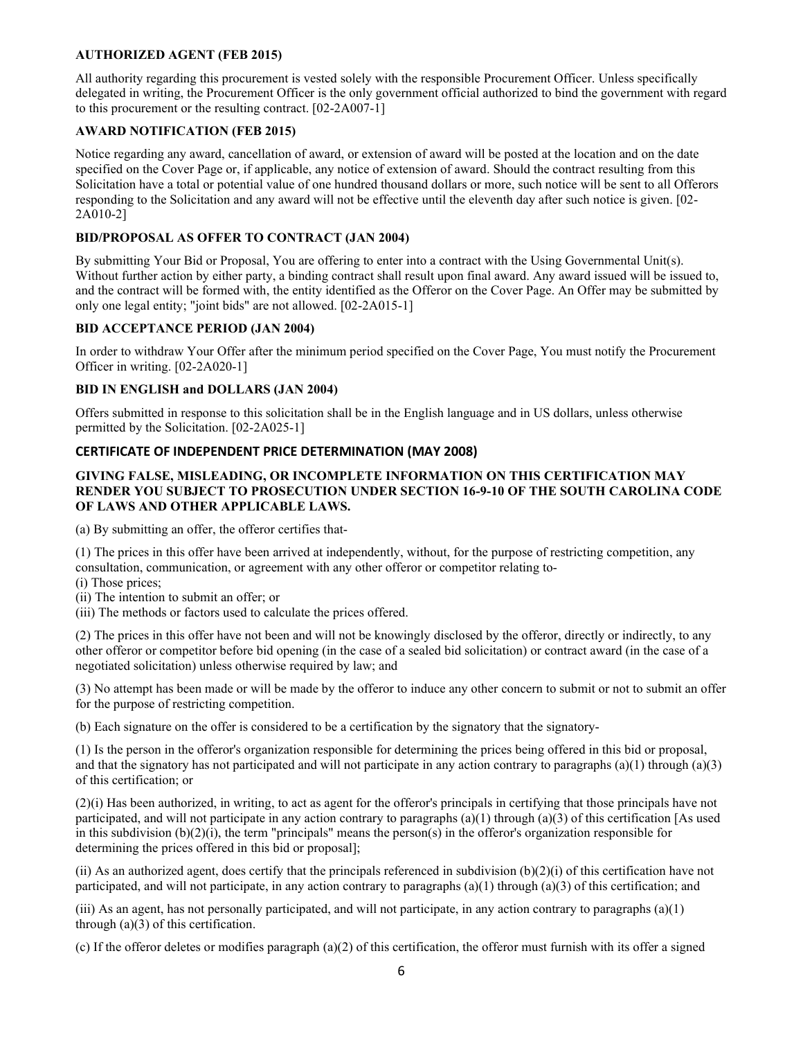## <span id="page-5-0"></span>**AUTHORIZED AGENT (FEB 2015)**

All authority regarding this procurement is vested solely with the responsible Procurement Officer. Unless specifically delegated in writing, the Procurement Officer is the only government official authorized to bind the government with regard to this procurement or the resulting contract. [02-2A007-1]

## <span id="page-5-1"></span>**AWARD NOTIFICATION (FEB 2015)**

Notice regarding any award, cancellation of award, or extension of award will be posted at the location and on the date specified on the Cover Page or, if applicable, any notice of extension of award. Should the contract resulting from this Solicitation have a total or potential value of one hundred thousand dollars or more, such notice will be sent to all Offerors responding to the Solicitation and any award will not be effective until the eleventh day after such notice is given. [02- 2A010-2]

## <span id="page-5-2"></span>**BID/PROPOSAL AS OFFER TO CONTRACT (JAN 2004)**

By submitting Your Bid or Proposal, You are offering to enter into a contract with the Using Governmental Unit(s). Without further action by either party, a binding contract shall result upon final award. Any award issued will be issued to, and the contract will be formed with, the entity identified as the Offeror on the Cover Page. An Offer may be submitted by only one legal entity; "joint bids" are not allowed. [02-2A015-1]

## <span id="page-5-3"></span>**BID ACCEPTANCE PERIOD (JAN 2004)**

In order to withdraw Your Offer after the minimum period specified on the Cover Page, You must notify the Procurement Officer in writing. [02-2A020-1]

## <span id="page-5-4"></span>**BID IN ENGLISH and DOLLARS (JAN 2004)**

Offers submitted in response to this solicitation shall be in the English language and in US dollars, unless otherwise permitted by the Solicitation. [02-2A025-1]

## **CERTIFICATE OF INDEPENDENT PRICE DETERMINATION (MAY 2008)**

## **GIVING FALSE, MISLEADING, OR INCOMPLETE INFORMATION ON THIS CERTIFICATION MAY RENDER YOU SUBJECT TO PROSECUTION UNDER SECTION 16-9-10 OF THE SOUTH CAROLINA CODE OF LAWS AND OTHER APPLICABLE LAWS.**

(a) By submitting an offer, the offeror certifies that-

(1) The prices in this offer have been arrived at independently, without, for the purpose of restricting competition, any consultation, communication, or agreement with any other offeror or competitor relating to-

- (i) Those prices;
- (ii) The intention to submit an offer; or
- (iii) The methods or factors used to calculate the prices offered.

(2) The prices in this offer have not been and will not be knowingly disclosed by the offeror, directly or indirectly, to any other offeror or competitor before bid opening (in the case of a sealed bid solicitation) or contract award (in the case of a negotiated solicitation) unless otherwise required by law; and

(3) No attempt has been made or will be made by the offeror to induce any other concern to submit or not to submit an offer for the purpose of restricting competition.

(b) Each signature on the offer is considered to be a certification by the signatory that the signatory-

(1) Is the person in the offeror's organization responsible for determining the prices being offered in this bid or proposal, and that the signatory has not participated and will not participate in any action contrary to paragraphs  $(a)(1)$  through  $(a)(3)$ of this certification; or

(2)(i) Has been authorized, in writing, to act as agent for the offeror's principals in certifying that those principals have not participated, and will not participate in any action contrary to paragraphs  $(a)(1)$  through  $(a)(3)$  of this certification [As used in this subdivision  $(b)(2)(i)$ , the term "principals" means the person(s) in the offeror's organization responsible for determining the prices offered in this bid or proposal];

(ii) As an authorized agent, does certify that the principals referenced in subdivision  $(b)(2)(i)$  of this certification have not participated, and will not participate, in any action contrary to paragraphs  $(a)(1)$  through  $(a)(3)$  of this certification; and

(iii) As an agent, has not personally participated, and will not participate, in any action contrary to paragraphs  $(a)(1)$ through (a)(3) of this certification.

(c) If the offeror deletes or modifies paragraph (a)(2) of this certification, the offeror must furnish with its offer a signed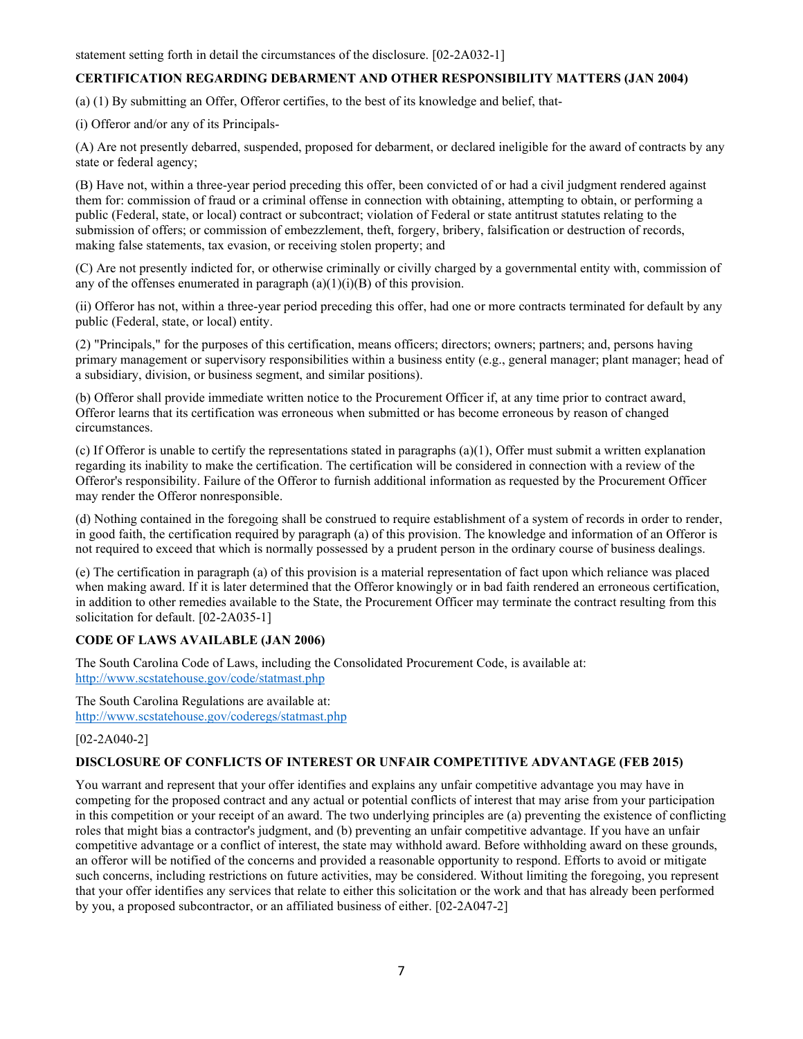statement setting forth in detail the circumstances of the disclosure. [02-2A032-1]

## <span id="page-6-0"></span>**CERTIFICATION REGARDING DEBARMENT AND OTHER RESPONSIBILITY MATTERS (JAN 2004)**

(a) (1) By submitting an Offer, Offeror certifies, to the best of its knowledge and belief, that-

(i) Offeror and/or any of its Principals-

(A) Are not presently debarred, suspended, proposed for debarment, or declared ineligible for the award of contracts by any state or federal agency;

(B) Have not, within a three-year period preceding this offer, been convicted of or had a civil judgment rendered against them for: commission of fraud or a criminal offense in connection with obtaining, attempting to obtain, or performing a public (Federal, state, or local) contract or subcontract; violation of Federal or state antitrust statutes relating to the submission of offers; or commission of embezzlement, theft, forgery, bribery, falsification or destruction of records, making false statements, tax evasion, or receiving stolen property; and

(C) Are not presently indicted for, or otherwise criminally or civilly charged by a governmental entity with, commission of any of the offenses enumerated in paragraph  $(a)(1)(i)(B)$  of this provision.

(ii) Offeror has not, within a three-year period preceding this offer, had one or more contracts terminated for default by any public (Federal, state, or local) entity.

(2) "Principals," for the purposes of this certification, means officers; directors; owners; partners; and, persons having primary management or supervisory responsibilities within a business entity (e.g., general manager; plant manager; head of a subsidiary, division, or business segment, and similar positions).

(b) Offeror shall provide immediate written notice to the Procurement Officer if, at any time prior to contract award, Offeror learns that its certification was erroneous when submitted or has become erroneous by reason of changed circumstances.

(c) If Offeror is unable to certify the representations stated in paragraphs  $(a)(1)$ , Offer must submit a written explanation regarding its inability to make the certification. The certification will be considered in connection with a review of the Offeror's responsibility. Failure of the Offeror to furnish additional information as requested by the Procurement Officer may render the Offeror nonresponsible.

(d) Nothing contained in the foregoing shall be construed to require establishment of a system of records in order to render, in good faith, the certification required by paragraph (a) of this provision. The knowledge and information of an Offeror is not required to exceed that which is normally possessed by a prudent person in the ordinary course of business dealings.

(e) The certification in paragraph (a) of this provision is a material representation of fact upon which reliance was placed when making award. If it is later determined that the Offeror knowingly or in bad faith rendered an erroneous certification, in addition to other remedies available to the State, the Procurement Officer may terminate the contract resulting from this solicitation for default. [02-2A035-1]

## <span id="page-6-1"></span>**CODE OF LAWS AVAILABLE (JAN 2006)**

The South Carolina Code of Laws, including the Consolidated Procurement Code, is available at: <http://www.scstatehouse.gov/code/statmast.php>

The South Carolina Regulations are available at: <http://www.scstatehouse.gov/coderegs/statmast.php>

## [02-2A040-2]

#### <span id="page-6-2"></span>**DISCLOSURE OF CONFLICTS OF INTEREST OR UNFAIR COMPETITIVE ADVANTAGE (FEB 2015)**

You warrant and represent that your offer identifies and explains any unfair competitive advantage you may have in competing for the proposed contract and any actual or potential conflicts of interest that may arise from your participation in this competition or your receipt of an award. The two underlying principles are (a) preventing the existence of conflicting roles that might bias a contractor's judgment, and (b) preventing an unfair competitive advantage. If you have an unfair competitive advantage or a conflict of interest, the state may withhold award. Before withholding award on these grounds, an offeror will be notified of the concerns and provided a reasonable opportunity to respond. Efforts to avoid or mitigate such concerns, including restrictions on future activities, may be considered. Without limiting the foregoing, you represent that your offer identifies any services that relate to either this solicitation or the work and that has already been performed by you, a proposed subcontractor, or an affiliated business of either. [02-2A047-2]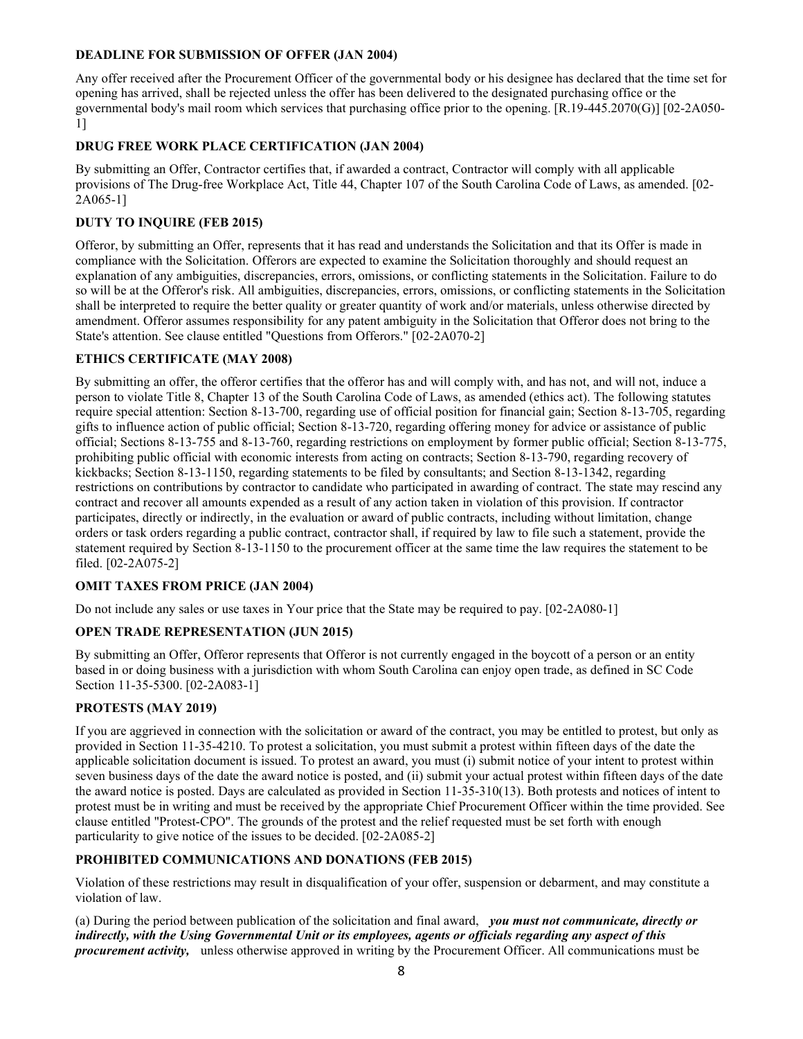## <span id="page-7-0"></span>**DEADLINE FOR SUBMISSION OF OFFER (JAN 2004)**

Any offer received after the Procurement Officer of the governmental body or his designee has declared that the time set for opening has arrived, shall be rejected unless the offer has been delivered to the designated purchasing office or the governmental body's mail room which services that purchasing office prior to the opening. [R.19-445.2070(G)] [02-2A050- 1]

## <span id="page-7-1"></span>**DRUG FREE WORK PLACE CERTIFICATION (JAN 2004)**

By submitting an Offer, Contractor certifies that, if awarded a contract, Contractor will comply with all applicable provisions of The Drug-free Workplace Act, Title 44, Chapter 107 of the South Carolina Code of Laws, as amended. [02- 2A065-1]

## <span id="page-7-2"></span>**DUTY TO INQUIRE (FEB 2015)**

Offeror, by submitting an Offer, represents that it has read and understands the Solicitation and that its Offer is made in compliance with the Solicitation. Offerors are expected to examine the Solicitation thoroughly and should request an explanation of any ambiguities, discrepancies, errors, omissions, or conflicting statements in the Solicitation. Failure to do so will be at the Offeror's risk. All ambiguities, discrepancies, errors, omissions, or conflicting statements in the Solicitation shall be interpreted to require the better quality or greater quantity of work and/or materials, unless otherwise directed by amendment. Offeror assumes responsibility for any patent ambiguity in the Solicitation that Offeror does not bring to the State's attention. See clause entitled "Questions from Offerors." [02-2A070-2]

## <span id="page-7-3"></span>**ETHICS CERTIFICATE (MAY 2008)**

By submitting an offer, the offeror certifies that the offeror has and will comply with, and has not, and will not, induce a person to violate Title 8, Chapter 13 of the South Carolina Code of Laws, as amended (ethics act). The following statutes require special attention: Section 8-13-700, regarding use of official position for financial gain; Section 8-13-705, regarding gifts to influence action of public official; Section 8-13-720, regarding offering money for advice or assistance of public official; Sections 8-13-755 and 8-13-760, regarding restrictions on employment by former public official; Section 8-13-775, prohibiting public official with economic interests from acting on contracts; Section 8-13-790, regarding recovery of kickbacks; Section 8-13-1150, regarding statements to be filed by consultants; and Section 8-13-1342, regarding restrictions on contributions by contractor to candidate who participated in awarding of contract. The state may rescind any contract and recover all amounts expended as a result of any action taken in violation of this provision. If contractor participates, directly or indirectly, in the evaluation or award of public contracts, including without limitation, change orders or task orders regarding a public contract, contractor shall, if required by law to file such a statement, provide the statement required by Section 8-13-1150 to the procurement officer at the same time the law requires the statement to be filed. [02-2A075-2]

## <span id="page-7-4"></span>**OMIT TAXES FROM PRICE (JAN 2004)**

Do not include any sales or use taxes in Your price that the State may be required to pay. [02-2A080-1]

#### <span id="page-7-5"></span>**OPEN TRADE REPRESENTATION (JUN 2015)**

By submitting an Offer, Offeror represents that Offeror is not currently engaged in the boycott of a person or an entity based in or doing business with a jurisdiction with whom South Carolina can enjoy open trade, as defined in SC Code Section 11-35-5300. [02-2A083-1]

## <span id="page-7-6"></span>**PROTESTS (MAY 2019)**

If you are aggrieved in connection with the solicitation or award of the contract, you may be entitled to protest, but only as provided in Section 11-35-4210. To protest a solicitation, you must submit a protest within fifteen days of the date the applicable solicitation document is issued. To protest an award, you must (i) submit notice of your intent to protest within seven business days of the date the award notice is posted, and (ii) submit your actual protest within fifteen days of the date the award notice is posted. Days are calculated as provided in Section 11-35-310(13). Both protests and notices of intent to protest must be in writing and must be received by the appropriate Chief Procurement Officer within the time provided. See clause entitled "Protest-CPO". The grounds of the protest and the relief requested must be set forth with enough particularity to give notice of the issues to be decided. [02-2A085-2]

## <span id="page-7-7"></span>**PROHIBITED COMMUNICATIONS AND DONATIONS (FEB 2015)**

Violation of these restrictions may result in disqualification of your offer, suspension or debarment, and may constitute a violation of law.

(a) During the period between publication of the solicitation and final award, *you must not communicate, directly or indirectly, with the Using Governmental Unit or its employees, agents or officials regarding any aspect of this procurement activity,* unless otherwise approved in writing by the Procurement Officer. All communications must be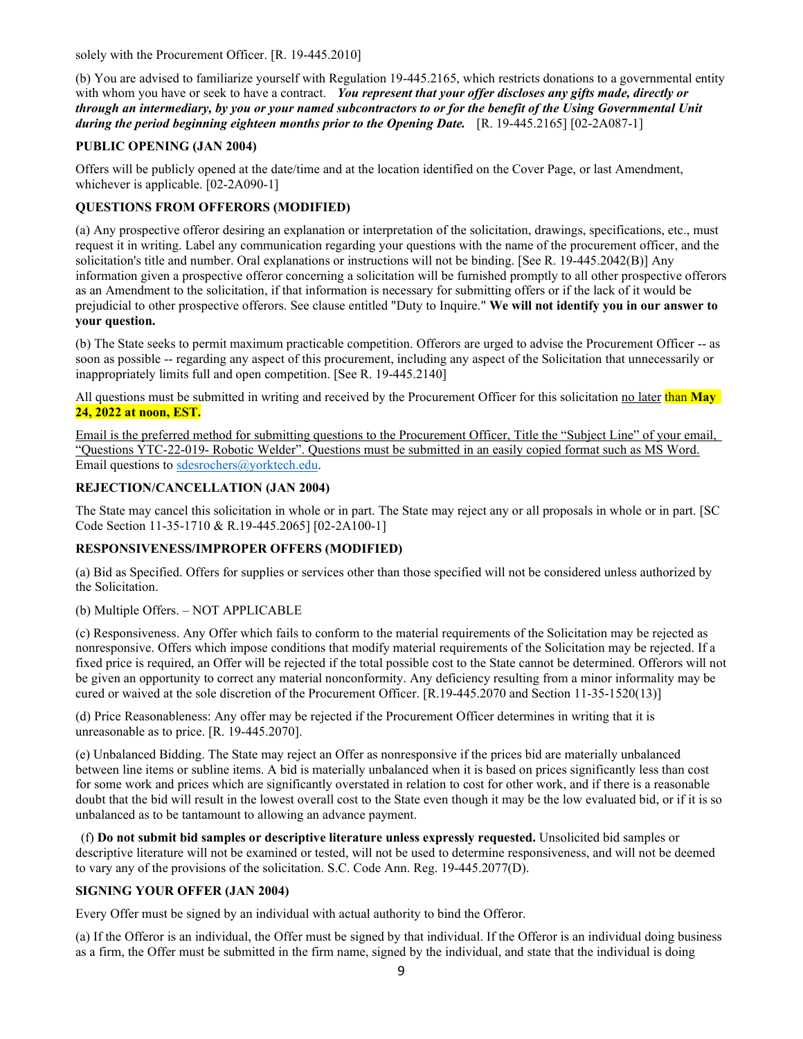solely with the Procurement Officer. [R. 19-445.2010]

(b) You are advised to familiarize yourself with Regulation 19-445.2165, which restricts donations to a governmental entity with whom you have or seek to have a contract. *You represent that your offer discloses any gifts made, directly or through an intermediary, by you or your named subcontractors to or for the benefit of the Using Governmental Unit during the period beginning eighteen months prior to the Opening Date.* [R. 19-445.2165] [02-2A087-1]

## <span id="page-8-0"></span>**PUBLIC OPENING (JAN 2004)**

Offers will be publicly opened at the date/time and at the location identified on the Cover Page, or last Amendment, whichever is applicable. [02-2A090-1]

## <span id="page-8-1"></span>**QUESTIONS FROM OFFERORS (MODIFIED)**

(a) Any prospective offeror desiring an explanation or interpretation of the solicitation, drawings, specifications, etc., must request it in writing. Label any communication regarding your questions with the name of the procurement officer, and the solicitation's title and number. Oral explanations or instructions will not be binding. [See R. 19-445.2042(B)] Any information given a prospective offeror concerning a solicitation will be furnished promptly to all other prospective offerors as an Amendment to the solicitation, if that information is necessary for submitting offers or if the lack of it would be prejudicial to other prospective offerors. See clause entitled "Duty to Inquire." **We will not identify you in our answer to your question.**

(b) The State seeks to permit maximum practicable competition. Offerors are urged to advise the Procurement Officer -- as soon as possible -- regarding any aspect of this procurement, including any aspect of the Solicitation that unnecessarily or inappropriately limits full and open competition. [See R. 19-445.2140]

All questions must be submitted in writing and received by the Procurement Officer for this solicitation no later than **May 24, 2022 at noon, EST.** 

Email is the preferred method for submitting questions to the Procurement Officer, Title the "Subject Line" of your email, "Questions YTC-22-019- Robotic Welder". Questions must be submitted in an easily copied format such as MS Word. Email questions t[o sdesrochers@yorktech.edu.](mailto:sdesrochers@yorktech.edu) 

## <span id="page-8-2"></span>**REJECTION/CANCELLATION (JAN 2004)**

The State may cancel this solicitation in whole or in part. The State may reject any or all proposals in whole or in part. [SC Code Section 11-35-1710 & R.19-445.2065] [02-2A100-1]

## <span id="page-8-3"></span>**RESPONSIVENESS/IMPROPER OFFERS (MODIFIED)**

(a) Bid as Specified. Offers for supplies or services other than those specified will not be considered unless authorized by the Solicitation.

(b) Multiple Offers. – NOT APPLICABLE

(c) Responsiveness. Any Offer which fails to conform to the material requirements of the Solicitation may be rejected as nonresponsive. Offers which impose conditions that modify material requirements of the Solicitation may be rejected. If a fixed price is required, an Offer will be rejected if the total possible cost to the State cannot be determined. Offerors will not be given an opportunity to correct any material nonconformity. Any deficiency resulting from a minor informality may be cured or waived at the sole discretion of the Procurement Officer. [R.19-445.2070 and Section 11-35-1520(13)]

(d) Price Reasonableness: Any offer may be rejected if the Procurement Officer determines in writing that it is unreasonable as to price. [R. 19-445.2070].

(e) Unbalanced Bidding. The State may reject an Offer as nonresponsive if the prices bid are materially unbalanced between line items or subline items. A bid is materially unbalanced when it is based on prices significantly less than cost for some work and prices which are significantly overstated in relation to cost for other work, and if there is a reasonable doubt that the bid will result in the lowest overall cost to the State even though it may be the low evaluated bid, or if it is so unbalanced as to be tantamount to allowing an advance payment.

(f) **Do not submit bid samples or descriptive literature unless expressly requested.** Unsolicited bid samples or descriptive literature will not be examined or tested, will not be used to determine responsiveness, and will not be deemed to vary any of the provisions of the solicitation. S.C. Code Ann. Reg. 19-445.2077(D).

## <span id="page-8-4"></span>**SIGNING YOUR OFFER (JAN 2004)**

Every Offer must be signed by an individual with actual authority to bind the Offeror.

(a) If the Offeror is an individual, the Offer must be signed by that individual. If the Offeror is an individual doing business as a firm, the Offer must be submitted in the firm name, signed by the individual, and state that the individual is doing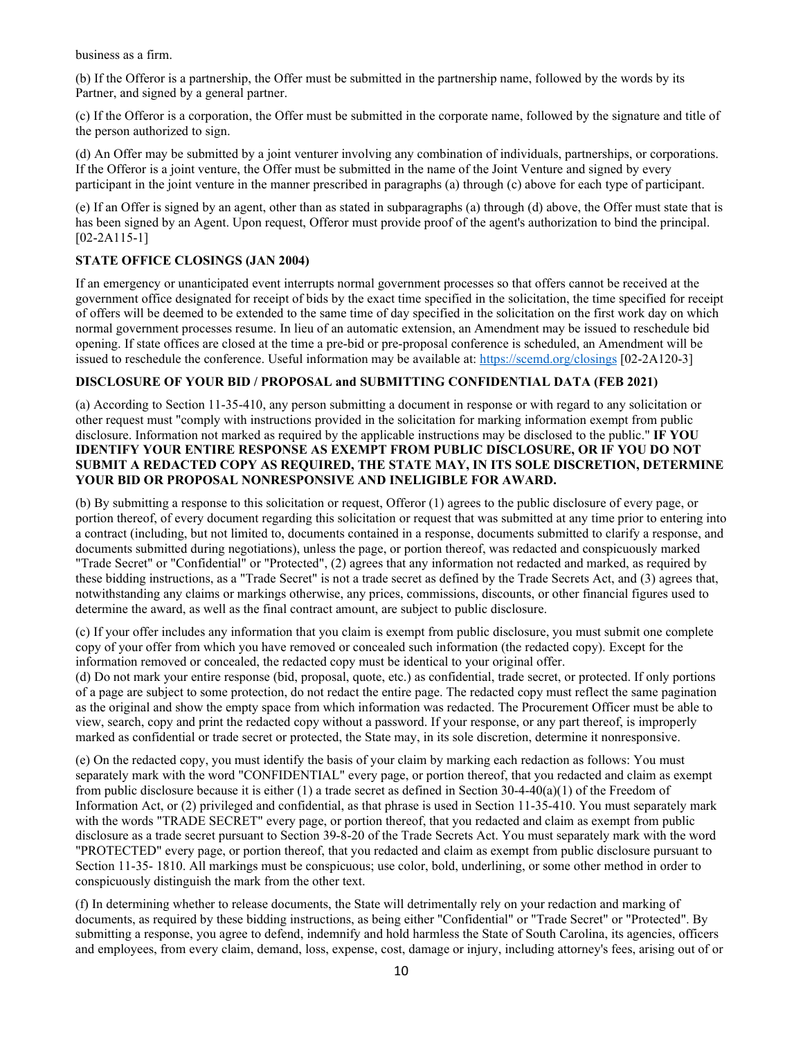business as a firm.

(b) If the Offeror is a partnership, the Offer must be submitted in the partnership name, followed by the words by its Partner, and signed by a general partner.

(c) If the Offeror is a corporation, the Offer must be submitted in the corporate name, followed by the signature and title of the person authorized to sign.

(d) An Offer may be submitted by a joint venturer involving any combination of individuals, partnerships, or corporations. If the Offeror is a joint venture, the Offer must be submitted in the name of the Joint Venture and signed by every participant in the joint venture in the manner prescribed in paragraphs (a) through (c) above for each type of participant.

(e) If an Offer is signed by an agent, other than as stated in subparagraphs (a) through (d) above, the Offer must state that is has been signed by an Agent. Upon request, Offeror must provide proof of the agent's authorization to bind the principal. [02-2A115-1]

## <span id="page-9-0"></span>**STATE OFFICE CLOSINGS (JAN 2004)**

If an emergency or unanticipated event interrupts normal government processes so that offers cannot be received at the government office designated for receipt of bids by the exact time specified in the solicitation, the time specified for receipt of offers will be deemed to be extended to the same time of day specified in the solicitation on the first work day on which normal government processes resume. In lieu of an automatic extension, an Amendment may be issued to reschedule bid opening. If state offices are closed at the time a pre-bid or pre-proposal conference is scheduled, an Amendment will be issued to reschedule the conference. Useful information may be available at:<https://scemd.org/closings> [02-2A120-3]

## <span id="page-9-1"></span>**DISCLOSURE OF YOUR BID / PROPOSAL and SUBMITTING CONFIDENTIAL DATA (FEB 2021)**

(a) According to Section 11-35-410, any person submitting a document in response or with regard to any solicitation or other request must "comply with instructions provided in the solicitation for marking information exempt from public disclosure. Information not marked as required by the applicable instructions may be disclosed to the public." **IF YOU IDENTIFY YOUR ENTIRE RESPONSE AS EXEMPT FROM PUBLIC DISCLOSURE, OR IF YOU DO NOT SUBMIT A REDACTED COPY AS REQUIRED, THE STATE MAY, IN ITS SOLE DISCRETION, DETERMINE YOUR BID OR PROPOSAL NONRESPONSIVE AND INELIGIBLE FOR AWARD.**

(b) By submitting a response to this solicitation or request, Offeror (1) agrees to the public disclosure of every page, or portion thereof, of every document regarding this solicitation or request that was submitted at any time prior to entering into a contract (including, but not limited to, documents contained in a response, documents submitted to clarify a response, and documents submitted during negotiations), unless the page, or portion thereof, was redacted and conspicuously marked "Trade Secret" or "Confidential" or "Protected", (2) agrees that any information not redacted and marked, as required by these bidding instructions, as a "Trade Secret" is not a trade secret as defined by the Trade Secrets Act, and (3) agrees that, notwithstanding any claims or markings otherwise, any prices, commissions, discounts, or other financial figures used to determine the award, as well as the final contract amount, are subject to public disclosure.

(c) If your offer includes any information that you claim is exempt from public disclosure, you must submit one complete copy of your offer from which you have removed or concealed such information (the redacted copy). Except for the information removed or concealed, the redacted copy must be identical to your original offer.

(d) Do not mark your entire response (bid, proposal, quote, etc.) as confidential, trade secret, or protected. If only portions of a page are subject to some protection, do not redact the entire page. The redacted copy must reflect the same pagination as the original and show the empty space from which information was redacted. The Procurement Officer must be able to view, search, copy and print the redacted copy without a password. If your response, or any part thereof, is improperly marked as confidential or trade secret or protected, the State may, in its sole discretion, determine it nonresponsive.

(e) On the redacted copy, you must identify the basis of your claim by marking each redaction as follows: You must separately mark with the word "CONFIDENTIAL" every page, or portion thereof, that you redacted and claim as exempt from public disclosure because it is either (1) a trade secret as defined in Section 30-4-40(a)(1) of the Freedom of Information Act, or (2) privileged and confidential, as that phrase is used in Section 11-35-410. You must separately mark with the words "TRADE SECRET" every page, or portion thereof, that you redacted and claim as exempt from public disclosure as a trade secret pursuant to Section 39-8-20 of the Trade Secrets Act. You must separately mark with the word "PROTECTED" every page, or portion thereof, that you redacted and claim as exempt from public disclosure pursuant to Section 11-35- 1810. All markings must be conspicuous; use color, bold, underlining, or some other method in order to conspicuously distinguish the mark from the other text.

(f) In determining whether to release documents, the State will detrimentally rely on your redaction and marking of documents, as required by these bidding instructions, as being either "Confidential" or "Trade Secret" or "Protected". By submitting a response, you agree to defend, indemnify and hold harmless the State of South Carolina, its agencies, officers and employees, from every claim, demand, loss, expense, cost, damage or injury, including attorney's fees, arising out of or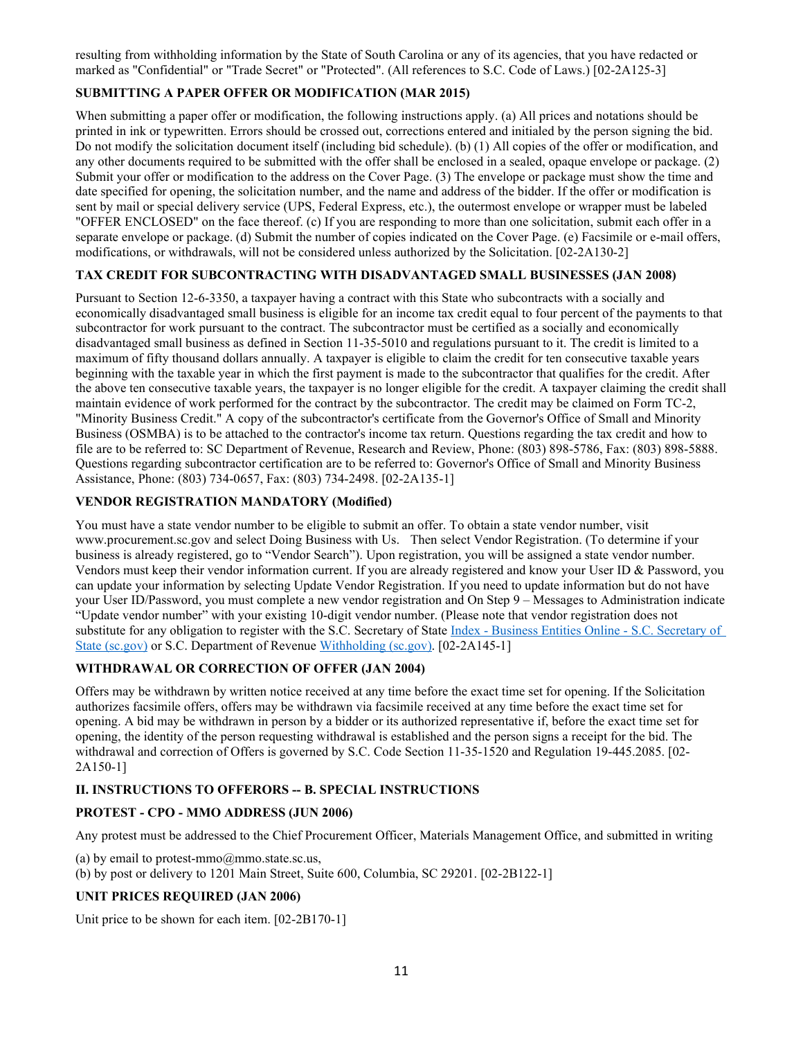resulting from withholding information by the State of South Carolina or any of its agencies, that you have redacted or marked as "Confidential" or "Trade Secret" or "Protected". (All references to S.C. Code of Laws.) [02-2A125-3]

## <span id="page-10-0"></span>**SUBMITTING A PAPER OFFER OR MODIFICATION (MAR 2015)**

When submitting a paper offer or modification, the following instructions apply. (a) All prices and notations should be printed in ink or typewritten. Errors should be crossed out, corrections entered and initialed by the person signing the bid. Do not modify the solicitation document itself (including bid schedule). (b) (1) All copies of the offer or modification, and any other documents required to be submitted with the offer shall be enclosed in a sealed, opaque envelope or package. (2) Submit your offer or modification to the address on the Cover Page. (3) The envelope or package must show the time and date specified for opening, the solicitation number, and the name and address of the bidder. If the offer or modification is sent by mail or special delivery service (UPS, Federal Express, etc.), the outermost envelope or wrapper must be labeled "OFFER ENCLOSED" on the face thereof. (c) If you are responding to more than one solicitation, submit each offer in a separate envelope or package. (d) Submit the number of copies indicated on the Cover Page. (e) Facsimile or e-mail offers, modifications, or withdrawals, will not be considered unless authorized by the Solicitation. [02-2A130-2]

## <span id="page-10-1"></span>**TAX CREDIT FOR SUBCONTRACTING WITH DISADVANTAGED SMALL BUSINESSES (JAN 2008)**

Pursuant to Section 12-6-3350, a taxpayer having a contract with this State who subcontracts with a socially and economically disadvantaged small business is eligible for an income tax credit equal to four percent of the payments to that subcontractor for work pursuant to the contract. The subcontractor must be certified as a socially and economically disadvantaged small business as defined in Section 11-35-5010 and regulations pursuant to it. The credit is limited to a maximum of fifty thousand dollars annually. A taxpayer is eligible to claim the credit for ten consecutive taxable years beginning with the taxable year in which the first payment is made to the subcontractor that qualifies for the credit. After the above ten consecutive taxable years, the taxpayer is no longer eligible for the credit. A taxpayer claiming the credit shall maintain evidence of work performed for the contract by the subcontractor. The credit may be claimed on Form TC-2, "Minority Business Credit." A copy of the subcontractor's certificate from the Governor's Office of Small and Minority Business (OSMBA) is to be attached to the contractor's income tax return. Questions regarding the tax credit and how to file are to be referred to: SC Department of Revenue, Research and Review, Phone: (803) 898-5786, Fax: (803) 898-5888. Questions regarding subcontractor certification are to be referred to: Governor's Office of Small and Minority Business Assistance, Phone: (803) 734-0657, Fax: (803) 734-2498. [02-2A135-1]

## <span id="page-10-2"></span>**VENDOR REGISTRATION MANDATORY (Modified)**

You must have a state vendor number to be eligible to submit an offer. To obtain a state vendor number[, visit](http://www.procurement.sc.gov/)  [www.procurement.sc.gov](http://www.procurement.sc.gov/) and select Doing Business with Us. Then select Vendor Registration. (To determine if your business is already registered, go to "Vendor Search"). Upon registration, you will be assigned a state vendor number. Vendors must keep their vendor information current. If you are already registered and know your User ID & Password, you can update your information by selecting Update Vendor Registration. If you need to update information but do not have your User ID/Password, you must complete a new vendor registration and On Step 9 – Messages to Administration indicate "Update vendor number" with your existing 10-digit vendor number. (Please note that vendor registration does not substitute for any obligation to register with the S.C. Secretary of State [Index - Business Entities Online - S.C. Secretary of](https://businessfilings.sc.gov/businessfiling)  [State \(sc.gov\)](https://businessfilings.sc.gov/businessfiling) or S.C. Department of Revenue [Withholding \(sc.gov\).](https://dor.sc.gov/tax/withholding) [02-2A145-1]

## <span id="page-10-3"></span>**WITHDRAWAL OR CORRECTION OF OFFER (JAN 2004)**

Offers may be withdrawn by written notice received at any time before the exact time set for opening. If the Solicitation authorizes facsimile offers, offers may be withdrawn via facsimile received at any time before the exact time set for opening. A bid may be withdrawn in person by a bidder or its authorized representative if, before the exact time set for opening, the identity of the person requesting withdrawal is established and the person signs a receipt for the bid. The withdrawal and correction of Offers is governed by S.C. Code Section 11-35-1520 and Regulation 19-445.2085. [02- 2A150-11

# <span id="page-10-4"></span>**II. INSTRUCTIONS TO OFFERORS -- B. SPECIAL INSTRUCTIONS**

# **PROTEST - CPO - MMO ADDRESS (JUN 2006)**

Any protest must be addressed to the Chief Procurement Officer, Materials Management Office, and submitted in writing

(a) by email to protest-mmo $@$ mmo.state.sc.us,

(b) by post or delivery to 1201 Main Street, Suite 600, Columbia, SC 29201. [02-2B122-1]

## **UNIT PRICES REQUIRED (JAN 2006)**

Unit price to be shown for each item. [02-2B170-1]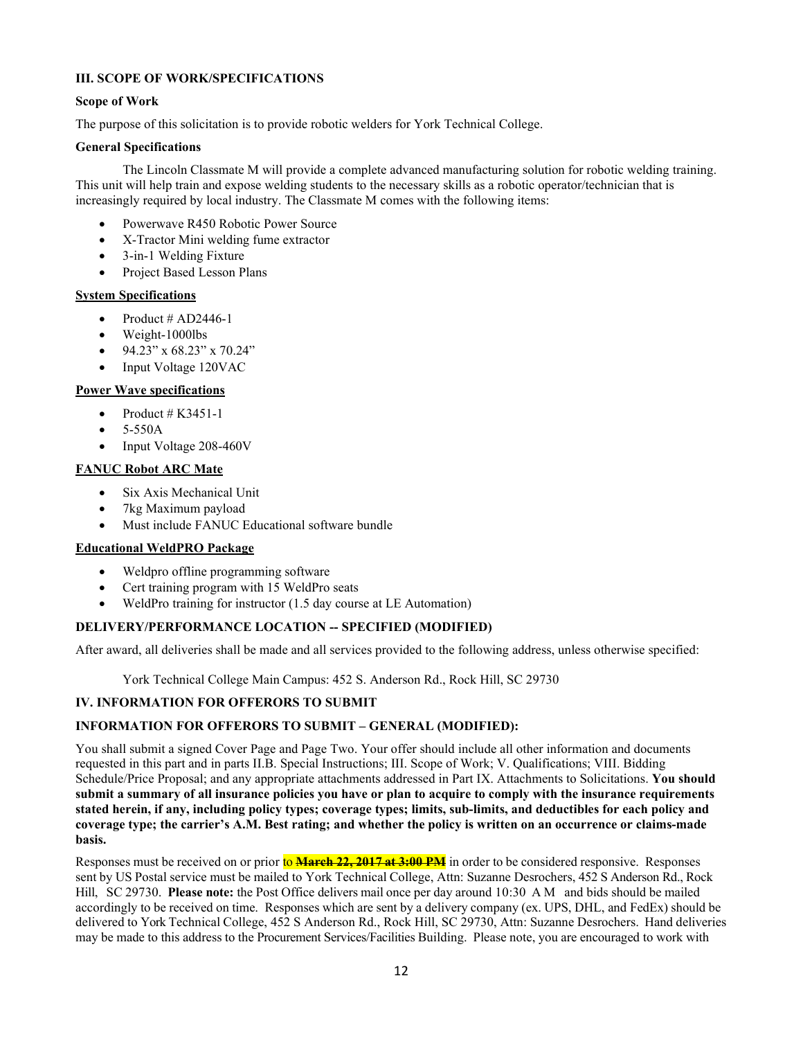#### <span id="page-11-0"></span>**III. SCOPE OF WORK/SPECIFICATIONS**

#### <span id="page-11-1"></span>**Scope of Work**

The purpose of this solicitation is to provide robotic welders for York Technical College.

#### **General Specifications**

The Lincoln Classmate M will provide a complete advanced manufacturing solution for robotic welding training. This unit will help train and expose welding students to the necessary skills as a robotic operator/technician that is increasingly required by local industry. The Classmate M comes with the following items:

- Powerwave R450 Robotic Power Source
- X-Tractor Mini welding fume extractor
- 3-in-1 Welding Fixture
- Project Based Lesson Plans

## **System Specifications**

- Product # AD2446-1
- Weight-1000lbs
- 94.23" x 68.23" x 70.24"
- Input Voltage 120VAC

## **Power Wave specifications**

- Product  $# K3451-1$
- 5-550A
- Input Voltage 208-460V

## **FANUC Robot ARC Mate**

- Six Axis Mechanical Unit
- 7kg Maximum payload
- Must include FANUC Educational software bundle

## **Educational WeldPRO Package**

- Weldpro offline programming software
- Cert training program with 15 WeldPro seats
- WeldPro training for instructor (1.5 day course at LE Automation)

## <span id="page-11-2"></span>**DELIVERY/PERFORMANCE LOCATION -- SPECIFIED (MODIFIED)**

After award, all deliveries shall be made and all services provided to the following address, unless otherwise specified:

York Technical College Main Campus: 452 S. Anderson Rd., Rock Hill, SC 29730

## <span id="page-11-3"></span>**IV. INFORMATION FOR OFFERORS TO SUBMIT**

## <span id="page-11-4"></span>**INFORMATION FOR OFFERORS TO SUBMIT – GENERAL (MODIFIED):**

You shall submit a signed Cover Page and Page Two. Your offer should include all other information and documents requested in this part and in parts II.B. Special Instructions; III. Scope of Work; V. Qualifications; VIII. Bidding Schedule/Price Proposal; and any appropriate attachments addressed in Part IX. Attachments to Solicitations. **You should submit a summary of all insurance policies you have or plan to acquire to comply with the insurance requirements stated herein, if any, including policy types; coverage types; limits, sub-limits, and deductibles for each policy and coverage type; the carrier's A.M. Best rating; and whether the policy is written on an occurrence or claims-made basis.**

Responses must be received on or prior to **March 22, 2017 at 3:00 PM** in order to be considered responsive. Responses sent by US Postal service must be mailed to York Technical College, Attn: Suzanne Desrochers, 452 S Anderson Rd., Rock Hill, SC 29730. **Please note:** the Post Office delivers mail once per day around 10:30 AM and bids should be mailed accordingly to be received on time. Responses which are sent by a delivery company (ex. UPS, DHL, and FedEx) should be delivered to York Technical College, 452 S Anderson Rd., Rock Hill, SC 29730, Attn: Suzanne Desrochers. Hand deliveries may be made to this address to the Procurement Services/Facilities Building. Please note, you are encouraged to work with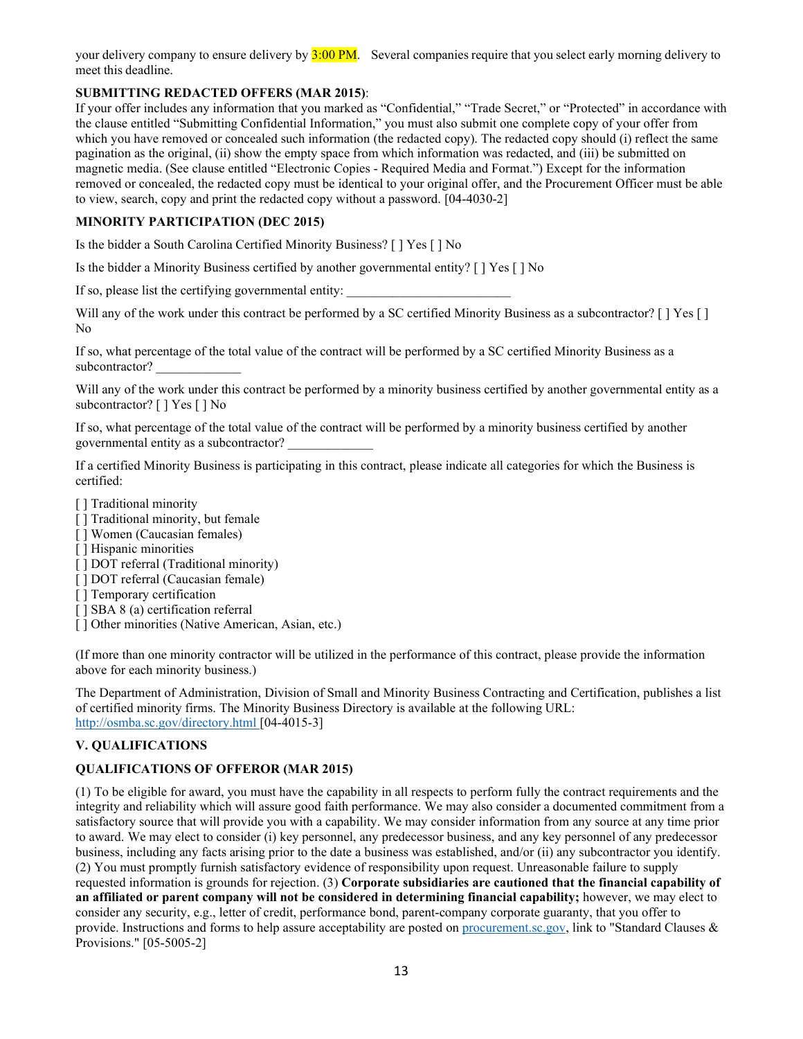your delivery company to ensure delivery by  $3:00 \text{ PM}$ . Several companies require that you select early morning delivery to meet this deadline.

## <span id="page-12-0"></span>**SUBMITTING REDACTED OFFERS (MAR 2015)**:

If your offer includes any information that you marked as "Confidential," "Trade Secret," or "Protected" in accordance with the clause entitled "Submitting Confidential Information," you must also submit one complete copy of your offer from which you have removed or concealed such information (the redacted copy). The redacted copy should (i) reflect the same pagination as the original, (ii) show the empty space from which information was redacted, and (iii) be submitted on magnetic media. (See clause entitled "Electronic Copies - Required Media and Format.") Except for the information removed or concealed, the redacted copy must be identical to your original offer, and the Procurement Officer must be able to view, search, copy and print the redacted copy without a password. [04-4030-2]

## <span id="page-12-1"></span>**MINORITY PARTICIPATION (DEC 2015)**

Is the bidder a South Carolina Certified Minority Business? [ ] Yes [ ] No

Is the bidder a Minority Business certified by another governmental entity? [ ] Yes [ ] No

If so, please list the certifying governmental entity:

Will any of the work under this contract be performed by a SC certified Minority Business as a subcontractor? [ ] Yes [ ] No

If so, what percentage of the total value of the contract will be performed by a SC certified Minority Business as a subcontractor?

Will any of the work under this contract be performed by a minority business certified by another governmental entity as a subcontractor? [ ] Yes [ ] No

If so, what percentage of the total value of the contract will be performed by a minority business certified by another governmental entity as a subcontractor? \_\_\_\_\_\_\_\_\_\_\_\_\_

If a certified Minority Business is participating in this contract, please indicate all categories for which the Business is certified:

- [ ] Traditional minority
- [ ] Traditional minority, but female
- [] Women (Caucasian females)
- [ ] Hispanic minorities
- [ ] DOT referral (Traditional minority)
- [ ] DOT referral (Caucasian female)
- [ ] Temporary certification
- [ ] SBA 8 (a) certification referral
- [] Other minorities (Native American, Asian, etc.)

(If more than one minority contractor will be utilized in the performance of this contract, please provide the information above for each minority business.)

The Department of Administration, Division of Small and Minority Business Contracting and Certification, publishes a list of certified minority firms. The Minority Business Directory is available at the following URL: <http://osmba.sc.gov/directory.html> [04-4015-3]

#### <span id="page-12-2"></span>**V. QUALIFICATIONS**

## <span id="page-12-3"></span>**QUALIFICATIONS OF OFFEROR (MAR 2015)**

(1) To be eligible for award, you must have the capability in all respects to perform fully the contract requirements and the integrity and reliability which will assure good faith performance. We may also consider a documented commitment from a satisfactory source that will provide you with a capability. We may consider information from any source at any time prior to award. We may elect to consider (i) key personnel, any predecessor business, and any key personnel of any predecessor business, including any facts arising prior to the date a business was established, and/or (ii) any subcontractor you identify. (2) You must promptly furnish satisfactory evidence of responsibility upon request. Unreasonable failure to supply requested information is grounds for rejection. (3) **Corporate subsidiaries are cautioned that the financial capability of an affiliated or parent company will not be considered in determining financial capability;** however, we may elect to consider any security, e.g., letter of credit, performance bond, parent-company corporate guaranty, that you offer to provide. Instructions and forms to help assure acceptability are posted o[n procurement.sc.gov,](http://www.procurement.sc.gov/) link to "Standard Clauses & Provisions." [05-5005-2]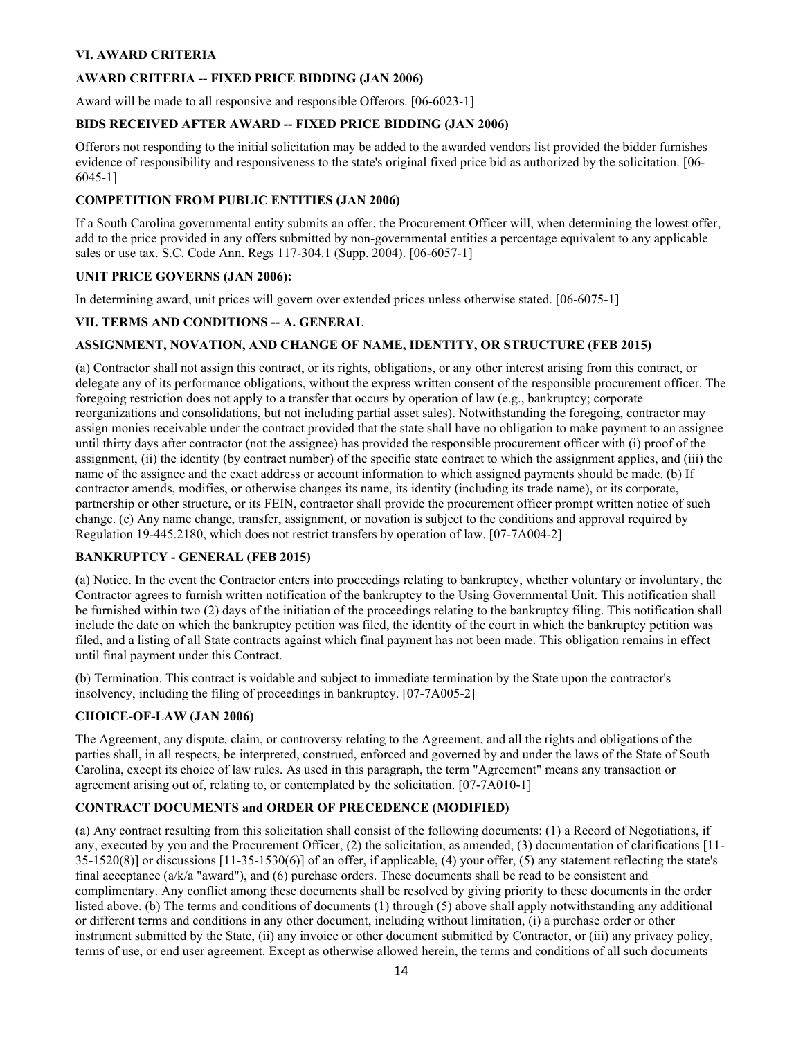## <span id="page-13-0"></span>**VI. AWARD CRITERIA**

## **AWARD CRITERIA -- FIXED PRICE BIDDING (JAN 2006)**

Award will be made to all responsive and responsible Offerors. [06-6023-1]

## **BIDS RECEIVED AFTER AWARD -- FIXED PRICE BIDDING (JAN 2006)**

Offerors not responding to the initial solicitation may be added to the awarded vendors list provided the bidder furnishes evidence of responsibility and responsiveness to the state's original fixed price bid as authorized by the solicitation. [06- 6045-1]

#### **COMPETITION FROM PUBLIC ENTITIES (JAN 2006)**

If a South Carolina governmental entity submits an offer, the Procurement Officer will, when determining the lowest offer, add to the price provided in any offers submitted by non-governmental entities a percentage equivalent to any applicable sales or use tax. S.C. Code Ann. Regs 117-304.1 (Supp. 2004). [06-6057-1]

#### **UNIT PRICE GOVERNS (JAN 2006):**

In determining award, unit prices will govern over extended prices unless otherwise stated. [06-6075-1]

#### <span id="page-13-1"></span>**VII. TERMS AND CONDITIONS -- A. GENERAL**

#### <span id="page-13-2"></span>**ASSIGNMENT, NOVATION, AND CHANGE OF NAME, IDENTITY, OR STRUCTURE (FEB 2015)**

(a) Contractor shall not assign this contract, or its rights, obligations, or any other interest arising from this contract, or delegate any of its performance obligations, without the express written consent of the responsible procurement officer. The foregoing restriction does not apply to a transfer that occurs by operation of law (e.g., bankruptcy; corporate reorganizations and consolidations, but not including partial asset sales). Notwithstanding the foregoing, contractor may assign monies receivable under the contract provided that the state shall have no obligation to make payment to an assignee until thirty days after contractor (not the assignee) has provided the responsible procurement officer with (i) proof of the assignment, (ii) the identity (by contract number) of the specific state contract to which the assignment applies, and (iii) the name of the assignee and the exact address or account information to which assigned payments should be made. (b) If contractor amends, modifies, or otherwise changes its name, its identity (including its trade name), or its corporate, partnership or other structure, or its FEIN, contractor shall provide the procurement officer prompt written notice of such change. (c) Any name change, transfer, assignment, or novation is subject to the conditions and approval required by Regulation 19-445.2180, which does not restrict transfers by operation of law. [07-7A004-2]

#### <span id="page-13-3"></span>**BANKRUPTCY - GENERAL (FEB 2015)**

(a) Notice. In the event the Contractor enters into proceedings relating to bankruptcy, whether voluntary or involuntary, the Contractor agrees to furnish written notification of the bankruptcy to the Using Governmental Unit. This notification shall be furnished within two (2) days of the initiation of the proceedings relating to the bankruptcy filing. This notification shall include the date on which the bankruptcy petition was filed, the identity of the court in which the bankruptcy petition was filed, and a listing of all State contracts against which final payment has not been made. This obligation remains in effect until final payment under this Contract.

(b) Termination. This contract is voidable and subject to immediate termination by the State upon the contractor's insolvency, including the filing of proceedings in bankruptcy. [07-7A005-2]

#### <span id="page-13-4"></span>**CHOICE-OF-LAW (JAN 2006)**

The Agreement, any dispute, claim, or controversy relating to the Agreement, and all the rights and obligations of the parties shall, in all respects, be interpreted, construed, enforced and governed by and under the laws of the State of South Carolina, except its choice of law rules. As used in this paragraph, the term "Agreement" means any transaction or agreement arising out of, relating to, or contemplated by the solicitation. [07-7A010-1]

#### <span id="page-13-5"></span>**CONTRACT DOCUMENTS and ORDER OF PRECEDENCE (MODIFIED)**

(a) Any contract resulting from this solicitation shall consist of the following documents: (1) a Record of Negotiations, if any, executed by you and the Procurement Officer, (2) the solicitation, as amended, (3) documentation of clarifications [11-  $35-1520(8)$ ] or discussions  $[11-35-1530(6)]$  of an offer, if applicable, (4) your offer, (5) any statement reflecting the state's final acceptance (a/k/a "award"), and (6) purchase orders. These documents shall be read to be consistent and complimentary. Any conflict among these documents shall be resolved by giving priority to these documents in the order listed above. (b) The terms and conditions of documents (1) through (5) above shall apply notwithstanding any additional or different terms and conditions in any other document, including without limitation, (i) a purchase order or other instrument submitted by the State, (ii) any invoice or other document submitted by Contractor, or (iii) any privacy policy, terms of use, or end user agreement. Except as otherwise allowed herein, the terms and conditions of all such documents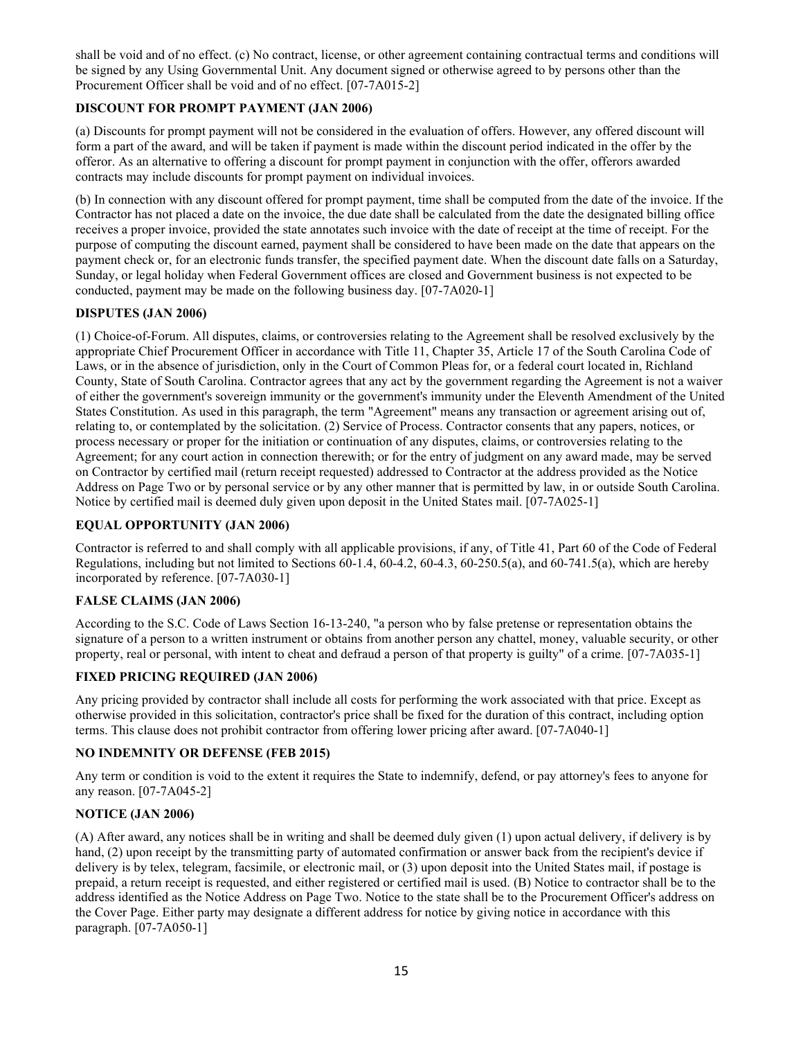shall be void and of no effect. (c) No contract, license, or other agreement containing contractual terms and conditions will be signed by any Using Governmental Unit. Any document signed or otherwise agreed to by persons other than the Procurement Officer shall be void and of no effect. [07-7A015-2]

## <span id="page-14-0"></span>**DISCOUNT FOR PROMPT PAYMENT (JAN 2006)**

(a) Discounts for prompt payment will not be considered in the evaluation of offers. However, any offered discount will form a part of the award, and will be taken if payment is made within the discount period indicated in the offer by the offeror. As an alternative to offering a discount for prompt payment in conjunction with the offer, offerors awarded contracts may include discounts for prompt payment on individual invoices.

(b) In connection with any discount offered for prompt payment, time shall be computed from the date of the invoice. If the Contractor has not placed a date on the invoice, the due date shall be calculated from the date the designated billing office receives a proper invoice, provided the state annotates such invoice with the date of receipt at the time of receipt. For the purpose of computing the discount earned, payment shall be considered to have been made on the date that appears on the payment check or, for an electronic funds transfer, the specified payment date. When the discount date falls on a Saturday, Sunday, or legal holiday when Federal Government offices are closed and Government business is not expected to be conducted, payment may be made on the following business day. [07-7A020-1]

## <span id="page-14-1"></span>**DISPUTES (JAN 2006)**

(1) Choice-of-Forum. All disputes, claims, or controversies relating to the Agreement shall be resolved exclusively by the appropriate Chief Procurement Officer in accordance with Title 11, Chapter 35, Article 17 of the South Carolina Code of Laws, or in the absence of jurisdiction, only in the Court of Common Pleas for, or a federal court located in, Richland County, State of South Carolina. Contractor agrees that any act by the government regarding the Agreement is not a waiver of either the government's sovereign immunity or the government's immunity under the Eleventh Amendment of the United States Constitution. As used in this paragraph, the term "Agreement" means any transaction or agreement arising out of, relating to, or contemplated by the solicitation. (2) Service of Process. Contractor consents that any papers, notices, or process necessary or proper for the initiation or continuation of any disputes, claims, or controversies relating to the Agreement; for any court action in connection therewith; or for the entry of judgment on any award made, may be served on Contractor by certified mail (return receipt requested) addressed to Contractor at the address provided as the Notice Address on Page Two or by personal service or by any other manner that is permitted by law, in or outside South Carolina. Notice by certified mail is deemed duly given upon deposit in the United States mail. [07-7A025-1]

#### <span id="page-14-2"></span>**EQUAL OPPORTUNITY (JAN 2006)**

Contractor is referred to and shall comply with all applicable provisions, if any, of Title 41, Part 60 of the Code of Federal Regulations, including but not limited to Sections 60-1.4, 60-4.2, 60-4.3, 60-250.5(a), and 60-741.5(a), which are hereby incorporated by reference. [07-7A030-1]

## <span id="page-14-3"></span>**FALSE CLAIMS (JAN 2006)**

According to the S.C. Code of Laws Section 16-13-240, "a person who by false pretense or representation obtains the signature of a person to a written instrument or obtains from another person any chattel, money, valuable security, or other property, real or personal, with intent to cheat and defraud a person of that property is guilty" of a crime. [07-7A035-1]

#### <span id="page-14-4"></span>**FIXED PRICING REQUIRED (JAN 2006)**

Any pricing provided by contractor shall include all costs for performing the work associated with that price. Except as otherwise provided in this solicitation, contractor's price shall be fixed for the duration of this contract, including option terms. This clause does not prohibit contractor from offering lower pricing after award. [07-7A040-1]

#### <span id="page-14-5"></span>**NO INDEMNITY OR DEFENSE (FEB 2015)**

Any term or condition is void to the extent it requires the State to indemnify, defend, or pay attorney's fees to anyone for any reason. [07-7A045-2]

#### <span id="page-14-6"></span>**NOTICE (JAN 2006)**

(A) After award, any notices shall be in writing and shall be deemed duly given (1) upon actual delivery, if delivery is by hand, (2) upon receipt by the transmitting party of automated confirmation or answer back from the recipient's device if delivery is by telex, telegram, facsimile, or electronic mail, or (3) upon deposit into the United States mail, if postage is prepaid, a return receipt is requested, and either registered or certified mail is used. (B) Notice to contractor shall be to the address identified as the Notice Address on Page Two. Notice to the state shall be to the Procurement Officer's address on the Cover Page. Either party may designate a different address for notice by giving notice in accordance with this paragraph. [07-7A050-1]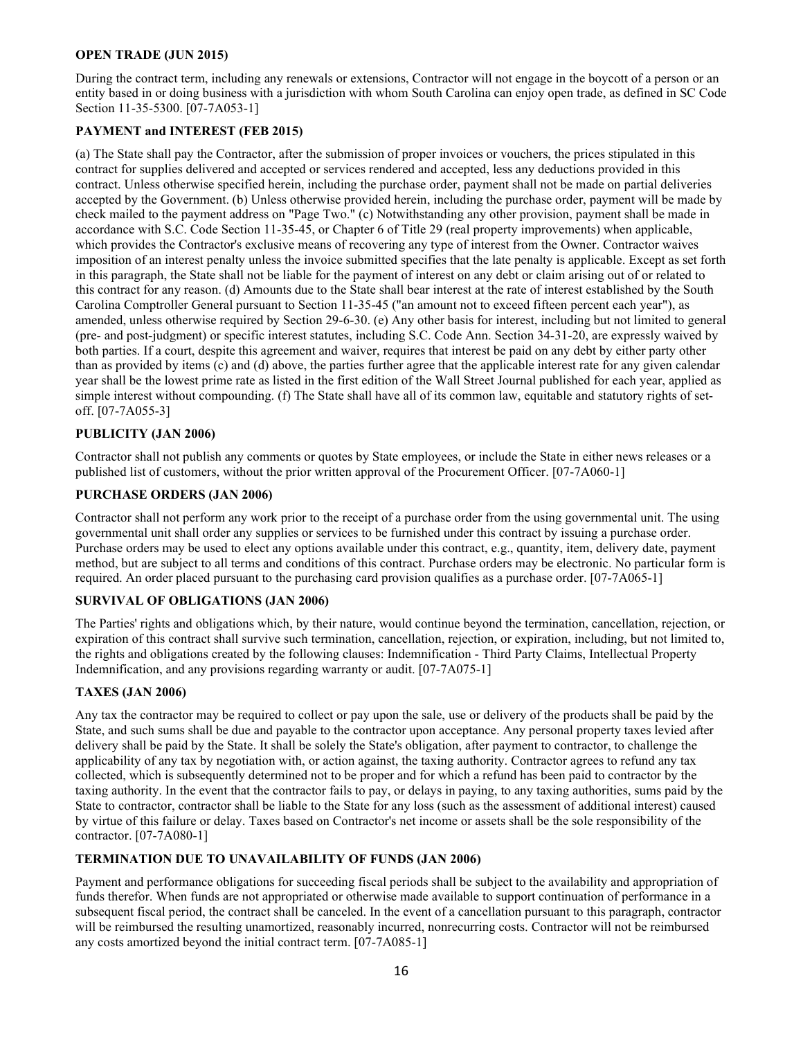#### <span id="page-15-0"></span>**OPEN TRADE (JUN 2015)**

During the contract term, including any renewals or extensions, Contractor will not engage in the boycott of a person or an entity based in or doing business with a jurisdiction with whom South Carolina can enjoy open trade, as defined in SC Code Section 11-35-5300. [07-7A053-1]

## <span id="page-15-1"></span>**PAYMENT and INTEREST (FEB 2015)**

(a) The State shall pay the Contractor, after the submission of proper invoices or vouchers, the prices stipulated in this contract for supplies delivered and accepted or services rendered and accepted, less any deductions provided in this contract. Unless otherwise specified herein, including the purchase order, payment shall not be made on partial deliveries accepted by the Government. (b) Unless otherwise provided herein, including the purchase order, payment will be made by check mailed to the payment address on "Page Two." (c) Notwithstanding any other provision, payment shall be made in accordance with S.C. Code Section 11-35-45, or Chapter 6 of Title 29 (real property improvements) when applicable, which provides the Contractor's exclusive means of recovering any type of interest from the Owner. Contractor waives imposition of an interest penalty unless the invoice submitted specifies that the late penalty is applicable. Except as set forth in this paragraph, the State shall not be liable for the payment of interest on any debt or claim arising out of or related to this contract for any reason. (d) Amounts due to the State shall bear interest at the rate of interest established by the South Carolina Comptroller General pursuant to Section 11-35-45 ("an amount not to exceed fifteen percent each year"), as amended, unless otherwise required by Section 29-6-30. (e) Any other basis for interest, including but not limited to general (pre- and post-judgment) or specific interest statutes, including S.C. Code Ann. Section 34-31-20, are expressly waived by both parties. If a court, despite this agreement and waiver, requires that interest be paid on any debt by either party other than as provided by items (c) and (d) above, the parties further agree that the applicable interest rate for any given calendar year shall be the lowest prime rate as listed in the first edition of the Wall Street Journal published for each year, applied as simple interest without compounding. (f) The State shall have all of its common law, equitable and statutory rights of setoff. [07-7A055-3]

## <span id="page-15-2"></span>**PUBLICITY (JAN 2006)**

Contractor shall not publish any comments or quotes by State employees, or include the State in either news releases or a published list of customers, without the prior written approval of the Procurement Officer. [07-7A060-1]

## <span id="page-15-3"></span>**PURCHASE ORDERS (JAN 2006)**

Contractor shall not perform any work prior to the receipt of a purchase order from the using governmental unit. The using governmental unit shall order any supplies or services to be furnished under this contract by issuing a purchase order. Purchase orders may be used to elect any options available under this contract, e.g., quantity, item, delivery date, payment method, but are subject to all terms and conditions of this contract. Purchase orders may be electronic. No particular form is required. An order placed pursuant to the purchasing card provision qualifies as a purchase order. [07-7A065-1]

#### <span id="page-15-4"></span>**SURVIVAL OF OBLIGATIONS (JAN 2006)**

The Parties' rights and obligations which, by their nature, would continue beyond the termination, cancellation, rejection, or expiration of this contract shall survive such termination, cancellation, rejection, or expiration, including, but not limited to, the rights and obligations created by the following clauses: Indemnification - Third Party Claims, Intellectual Property Indemnification, and any provisions regarding warranty or audit. [07-7A075-1]

#### <span id="page-15-5"></span>**TAXES (JAN 2006)**

Any tax the contractor may be required to collect or pay upon the sale, use or delivery of the products shall be paid by the State, and such sums shall be due and payable to the contractor upon acceptance. Any personal property taxes levied after delivery shall be paid by the State. It shall be solely the State's obligation, after payment to contractor, to challenge the applicability of any tax by negotiation with, or action against, the taxing authority. Contractor agrees to refund any tax collected, which is subsequently determined not to be proper and for which a refund has been paid to contractor by the taxing authority. In the event that the contractor fails to pay, or delays in paying, to any taxing authorities, sums paid by the State to contractor, contractor shall be liable to the State for any loss (such as the assessment of additional interest) caused by virtue of this failure or delay. Taxes based on Contractor's net income or assets shall be the sole responsibility of the contractor. [07-7A080-1]

## <span id="page-15-6"></span>**TERMINATION DUE TO UNAVAILABILITY OF FUNDS (JAN 2006)**

Payment and performance obligations for succeeding fiscal periods shall be subject to the availability and appropriation of funds therefor. When funds are not appropriated or otherwise made available to support continuation of performance in a subsequent fiscal period, the contract shall be canceled. In the event of a cancellation pursuant to this paragraph, contractor will be reimbursed the resulting unamortized, reasonably incurred, nonrecurring costs. Contractor will not be reimbursed any costs amortized beyond the initial contract term. [07-7A085-1]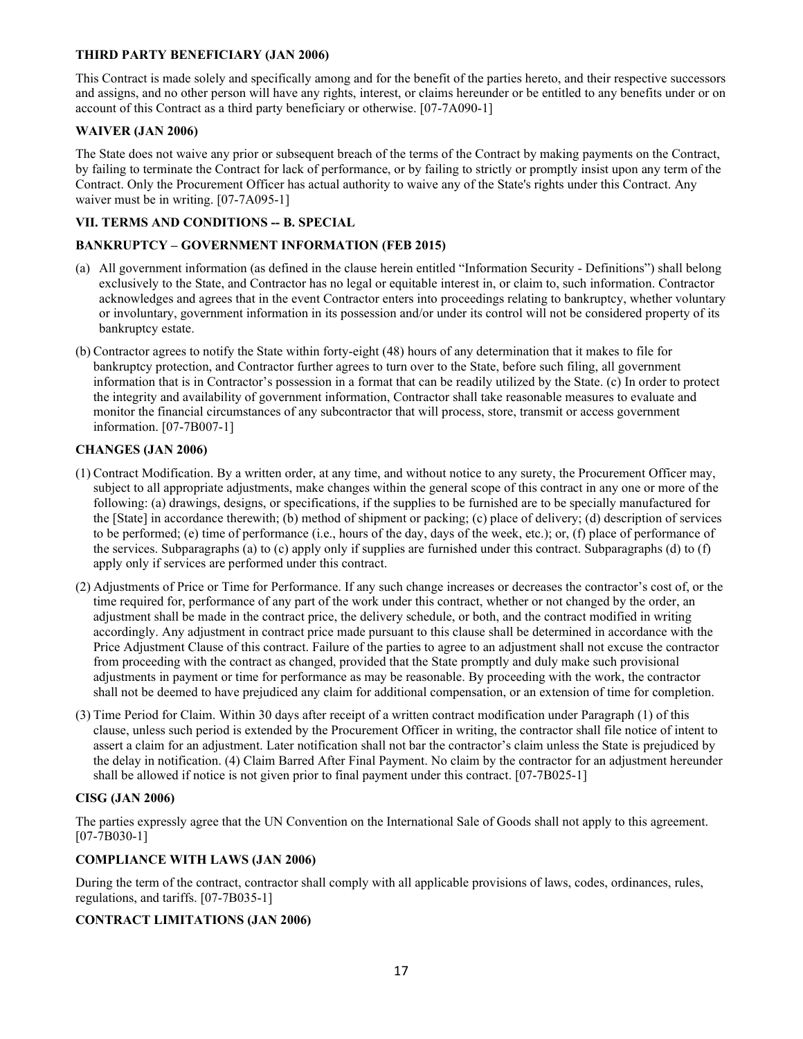## <span id="page-16-0"></span>**THIRD PARTY BENEFICIARY (JAN 2006)**

This Contract is made solely and specifically among and for the benefit of the parties hereto, and their respective successors and assigns, and no other person will have any rights, interest, or claims hereunder or be entitled to any benefits under or on account of this Contract as a third party beneficiary or otherwise. [07-7A090-1]

## <span id="page-16-1"></span>**WAIVER (JAN 2006)**

The State does not waive any prior or subsequent breach of the terms of the Contract by making payments on the Contract, by failing to terminate the Contract for lack of performance, or by failing to strictly or promptly insist upon any term of the Contract. Only the Procurement Officer has actual authority to waive any of the State's rights under this Contract. Any waiver must be in writing. [07-7A095-1]

## <span id="page-16-2"></span>**VII. TERMS AND CONDITIONS -- B. SPECIAL**

## <span id="page-16-3"></span>**BANKRUPTCY – GOVERNMENT INFORMATION (FEB 2015)**

- (a) All government information (as defined in the clause herein entitled "Information Security Definitions") shall belong exclusively to the State, and Contractor has no legal or equitable interest in, or claim to, such information. Contractor acknowledges and agrees that in the event Contractor enters into proceedings relating to bankruptcy, whether voluntary or involuntary, government information in its possession and/or under its control will not be considered property of its bankruptcy estate.
- (b) Contractor agrees to notify the State within forty-eight (48) hours of any determination that it makes to file for bankruptcy protection, and Contractor further agrees to turn over to the State, before such filing, all government information that is in Contractor's possession in a format that can be readily utilized by the State. (c) In order to protect the integrity and availability of government information, Contractor shall take reasonable measures to evaluate and monitor the financial circumstances of any subcontractor that will process, store, transmit or access government information. [07-7B007-1]

#### <span id="page-16-4"></span>**CHANGES (JAN 2006)**

- (1) Contract Modification. By a written order, at any time, and without notice to any surety, the Procurement Officer may, subject to all appropriate adjustments, make changes within the general scope of this contract in any one or more of the following: (a) drawings, designs, or specifications, if the supplies to be furnished are to be specially manufactured for the [State] in accordance therewith; (b) method of shipment or packing; (c) place of delivery; (d) description of services to be performed; (e) time of performance (i.e., hours of the day, days of the week, etc.); or, (f) place of performance of the services. Subparagraphs (a) to (c) apply only if supplies are furnished under this contract. Subparagraphs (d) to (f) apply only if services are performed under this contract.
- (2) Adjustments of Price or Time for Performance. If any such change increases or decreases the contractor's cost of, or the time required for, performance of any part of the work under this contract, whether or not changed by the order, an adjustment shall be made in the contract price, the delivery schedule, or both, and the contract modified in writing accordingly. Any adjustment in contract price made pursuant to this clause shall be determined in accordance with the Price Adjustment Clause of this contract. Failure of the parties to agree to an adjustment shall not excuse the contractor from proceeding with the contract as changed, provided that the State promptly and duly make such provisional adjustments in payment or time for performance as may be reasonable. By proceeding with the work, the contractor shall not be deemed to have prejudiced any claim for additional compensation, or an extension of time for completion.
- (3) Time Period for Claim. Within 30 days after receipt of a written contract modification under Paragraph (1) of this clause, unless such period is extended by the Procurement Officer in writing, the contractor shall file notice of intent to assert a claim for an adjustment. Later notification shall not bar the contractor's claim unless the State is prejudiced by the delay in notification. (4) Claim Barred After Final Payment. No claim by the contractor for an adjustment hereunder shall be allowed if notice is not given prior to final payment under this contract. [07-7B025-1]

#### **CISG (JAN 2006)**

The parties expressly agree that the UN Convention on the International Sale of Goods shall not apply to this agreement. [07-7B030-1]

#### <span id="page-16-5"></span>**COMPLIANCE WITH LAWS (JAN 2006)**

During the term of the contract, contractor shall comply with all applicable provisions of laws, codes, ordinances, rules, regulations, and tariffs. [07-7B035-1]

#### <span id="page-16-6"></span>**CONTRACT LIMITATIONS (JAN 2006)**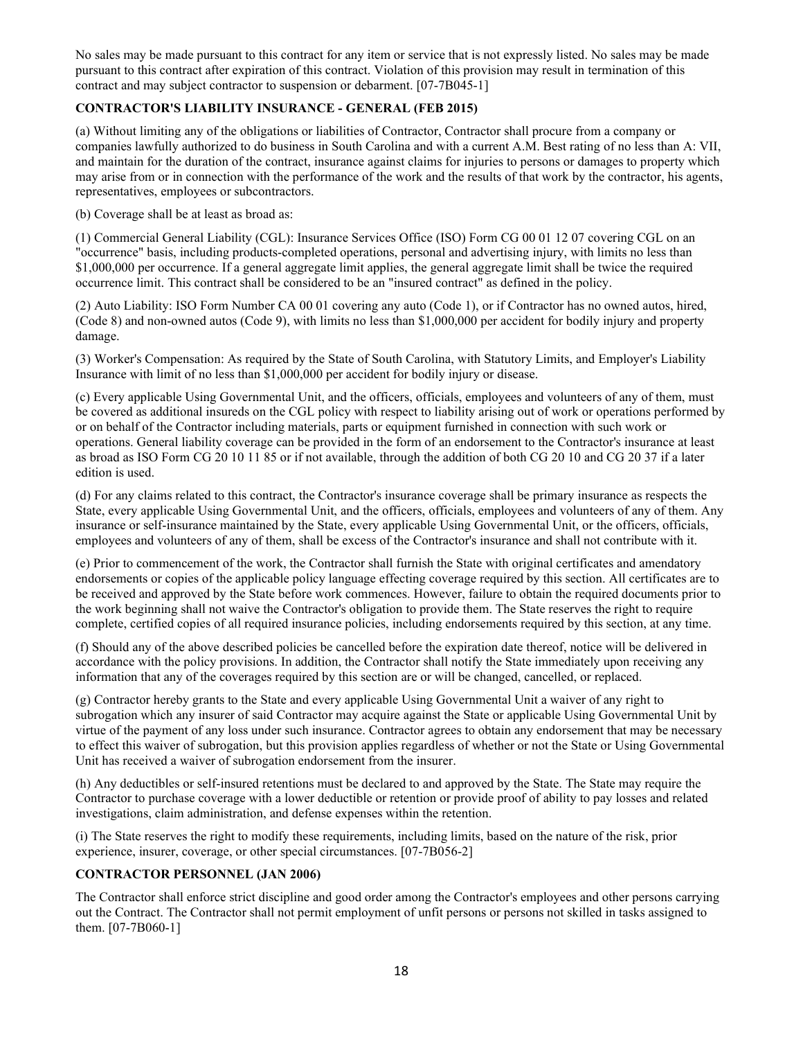No sales may be made pursuant to this contract for any item or service that is not expressly listed. No sales may be made pursuant to this contract after expiration of this contract. Violation of this provision may result in termination of this contract and may subject contractor to suspension or debarment. [07-7B045-1]

## <span id="page-17-0"></span>**CONTRACTOR'S LIABILITY INSURANCE - GENERAL (FEB 2015)**

(a) Without limiting any of the obligations or liabilities of Contractor, Contractor shall procure from a company or companies lawfully authorized to do business in South Carolina and with a current A.M. Best rating of no less than A: VII, and maintain for the duration of the contract, insurance against claims for injuries to persons or damages to property which may arise from or in connection with the performance of the work and the results of that work by the contractor, his agents, representatives, employees or subcontractors.

(b) Coverage shall be at least as broad as:

(1) Commercial General Liability (CGL): Insurance Services Office (ISO) Form CG 00 01 12 07 covering CGL on an "occurrence" basis, including products-completed operations, personal and advertising injury, with limits no less than \$1,000,000 per occurrence. If a general aggregate limit applies, the general aggregate limit shall be twice the required occurrence limit. This contract shall be considered to be an "insured contract" as defined in the policy.

(2) Auto Liability: ISO Form Number CA 00 01 covering any auto (Code 1), or if Contractor has no owned autos, hired, (Code 8) and non-owned autos (Code 9), with limits no less than \$1,000,000 per accident for bodily injury and property damage.

(3) Worker's Compensation: As required by the State of South Carolina, with Statutory Limits, and Employer's Liability Insurance with limit of no less than \$1,000,000 per accident for bodily injury or disease.

(c) Every applicable Using Governmental Unit, and the officers, officials, employees and volunteers of any of them, must be covered as additional insureds on the CGL policy with respect to liability arising out of work or operations performed by or on behalf of the Contractor including materials, parts or equipment furnished in connection with such work or operations. General liability coverage can be provided in the form of an endorsement to the Contractor's insurance at least as broad as ISO Form CG 20 10 11 85 or if not available, through the addition of both CG 20 10 and CG 20 37 if a later edition is used.

(d) For any claims related to this contract, the Contractor's insurance coverage shall be primary insurance as respects the State, every applicable Using Governmental Unit, and the officers, officials, employees and volunteers of any of them. Any insurance or self-insurance maintained by the State, every applicable Using Governmental Unit, or the officers, officials, employees and volunteers of any of them, shall be excess of the Contractor's insurance and shall not contribute with it.

(e) Prior to commencement of the work, the Contractor shall furnish the State with original certificates and amendatory endorsements or copies of the applicable policy language effecting coverage required by this section. All certificates are to be received and approved by the State before work commences. However, failure to obtain the required documents prior to the work beginning shall not waive the Contractor's obligation to provide them. The State reserves the right to require complete, certified copies of all required insurance policies, including endorsements required by this section, at any time.

(f) Should any of the above described policies be cancelled before the expiration date thereof, notice will be delivered in accordance with the policy provisions. In addition, the Contractor shall notify the State immediately upon receiving any information that any of the coverages required by this section are or will be changed, cancelled, or replaced.

(g) Contractor hereby grants to the State and every applicable Using Governmental Unit a waiver of any right to subrogation which any insurer of said Contractor may acquire against the State or applicable Using Governmental Unit by virtue of the payment of any loss under such insurance. Contractor agrees to obtain any endorsement that may be necessary to effect this waiver of subrogation, but this provision applies regardless of whether or not the State or Using Governmental Unit has received a waiver of subrogation endorsement from the insurer.

(h) Any deductibles or self-insured retentions must be declared to and approved by the State. The State may require the Contractor to purchase coverage with a lower deductible or retention or provide proof of ability to pay losses and related investigations, claim administration, and defense expenses within the retention.

(i) The State reserves the right to modify these requirements, including limits, based on the nature of the risk, prior experience, insurer, coverage, or other special circumstances. [07-7B056-2]

## <span id="page-17-1"></span>**CONTRACTOR PERSONNEL (JAN 2006)**

The Contractor shall enforce strict discipline and good order among the Contractor's employees and other persons carrying out the Contract. The Contractor shall not permit employment of unfit persons or persons not skilled in tasks assigned to them. [07-7B060-1]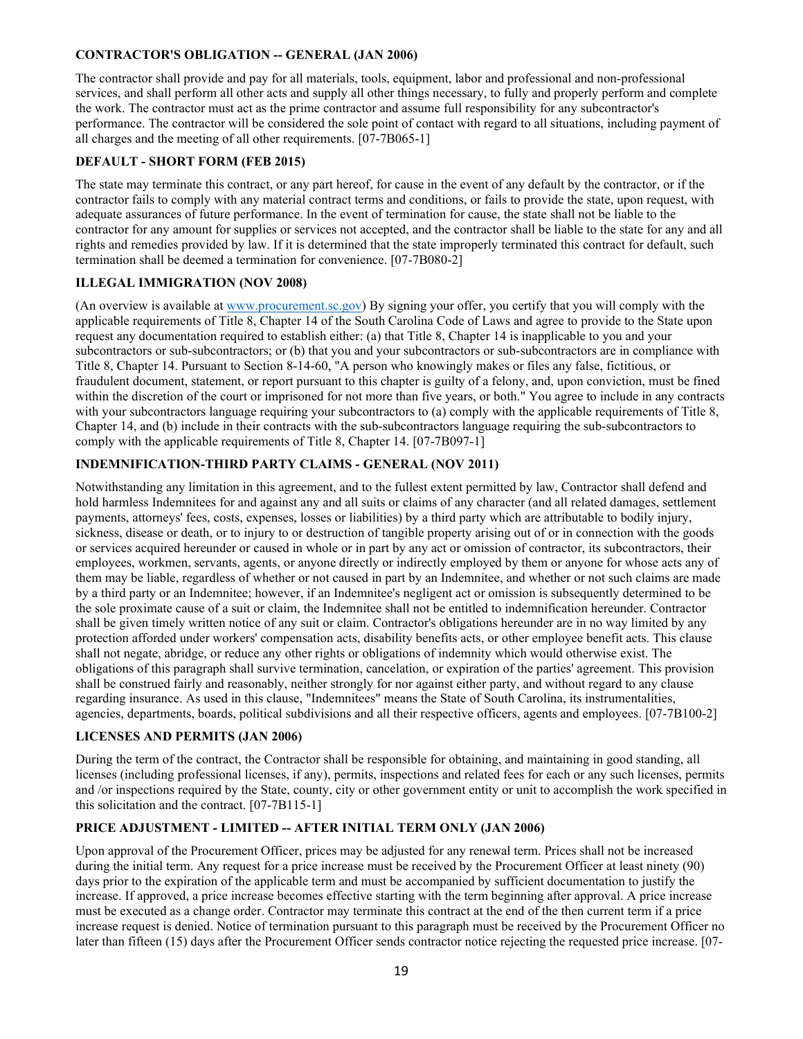## <span id="page-18-0"></span>**CONTRACTOR'S OBLIGATION -- GENERAL (JAN 2006)**

The contractor shall provide and pay for all materials, tools, equipment, labor and professional and non-professional services, and shall perform all other acts and supply all other things necessary, to fully and properly perform and complete the work. The contractor must act as the prime contractor and assume full responsibility for any subcontractor's performance. The contractor will be considered the sole point of contact with regard to all situations, including payment of all charges and the meeting of all other requirements. [07-7B065-1]

#### **DEFAULT - SHORT FORM (FEB 2015)**

The state may terminate this contract, or any part hereof, for cause in the event of any default by the contractor, or if the contractor fails to comply with any material contract terms and conditions, or fails to provide the state, upon request, with adequate assurances of future performance. In the event of termination for cause, the state shall not be liable to the contractor for any amount for supplies or services not accepted, and the contractor shall be liable to the state for any and all rights and remedies provided by law. If it is determined that the state improperly terminated this contract for default, such termination shall be deemed a termination for convenience. [07-7B080-2]

## <span id="page-18-1"></span>**ILLEGAL IMMIGRATION (NOV 2008)**

(An overview is available at www.procurement.sc.gov) By signing your offer, you certify that you will comply with the applicable requirements of Title 8, Chapter 14 of the South Carolina Code of Laws and agree to provide to the State upon request any documentation required to establish either: (a) that Title 8, Chapter 14 is inapplicable to you and your subcontractors or sub-subcontractors; or (b) that you and your subcontractors or sub-subcontractors are in compliance with Title 8, Chapter 14. Pursuant to Section 8-14-60, "A person who knowingly makes or files any false, fictitious, or fraudulent document, statement, or report pursuant to this chapter is guilty of a felony, and, upon conviction, must be fined within the discretion of the court or imprisoned for not more than five years, or both." You agree to include in any contracts with your subcontractors language requiring your subcontractors to (a) comply with the applicable requirements of Title 8, Chapter 14, and (b) include in their contracts with the sub-subcontractors language requiring the sub-subcontractors to comply with the applicable requirements of Title 8, Chapter 14. [07-7B097-1]

## <span id="page-18-2"></span>**INDEMNIFICATION-THIRD PARTY CLAIMS - GENERAL (NOV 2011)**

Notwithstanding any limitation in this agreement, and to the fullest extent permitted by law, Contractor shall defend and hold harmless Indemnitees for and against any and all suits or claims of any character (and all related damages, settlement payments, attorneys' fees, costs, expenses, losses or liabilities) by a third party which are attributable to bodily injury, sickness, disease or death, or to injury to or destruction of tangible property arising out of or in connection with the goods or services acquired hereunder or caused in whole or in part by any act or omission of contractor, its subcontractors, their employees, workmen, servants, agents, or anyone directly or indirectly employed by them or anyone for whose acts any of them may be liable, regardless of whether or not caused in part by an Indemnitee, and whether or not such claims are made by a third party or an Indemnitee; however, if an Indemnitee's negligent act or omission is subsequently determined to be the sole proximate cause of a suit or claim, the Indemnitee shall not be entitled to indemnification hereunder. Contractor shall be given timely written notice of any suit or claim. Contractor's obligations hereunder are in no way limited by any protection afforded under workers' compensation acts, disability benefits acts, or other employee benefit acts. This clause shall not negate, abridge, or reduce any other rights or obligations of indemnity which would otherwise exist. The obligations of this paragraph shall survive termination, cancelation, or expiration of the parties' agreement. This provision shall be construed fairly and reasonably, neither strongly for nor against either party, and without regard to any clause regarding insurance. As used in this clause, "Indemnitees" means the State of South Carolina, its instrumentalities, agencies, departments, boards, political subdivisions and all their respective officers, agents and employees. [07-7B100-2]

## <span id="page-18-3"></span>**LICENSES AND PERMITS (JAN 2006)**

During the term of the contract, the Contractor shall be responsible for obtaining, and maintaining in good standing, all licenses (including professional licenses, if any), permits, inspections and related fees for each or any such licenses, permits and /or inspections required by the State, county, city or other government entity or unit to accomplish the work specified in this solicitation and the contract. [07-7B115-1]

#### **PRICE ADJUSTMENT - LIMITED -- AFTER INITIAL TERM ONLY (JAN 2006)**

Upon approval of the Procurement Officer, prices may be adjusted for any renewal term. Prices shall not be increased during the initial term. Any request for a price increase must be received by the Procurement Officer at least ninety (90) days prior to the expiration of the applicable term and must be accompanied by sufficient documentation to justify the increase. If approved, a price increase becomes effective starting with the term beginning after approval. A price increase must be executed as a change order. Contractor may terminate this contract at the end of the then current term if a price increase request is denied. Notice of termination pursuant to this paragraph must be received by the Procurement Officer no later than fifteen (15) days after the Procurement Officer sends contractor notice rejecting the requested price increase. [07-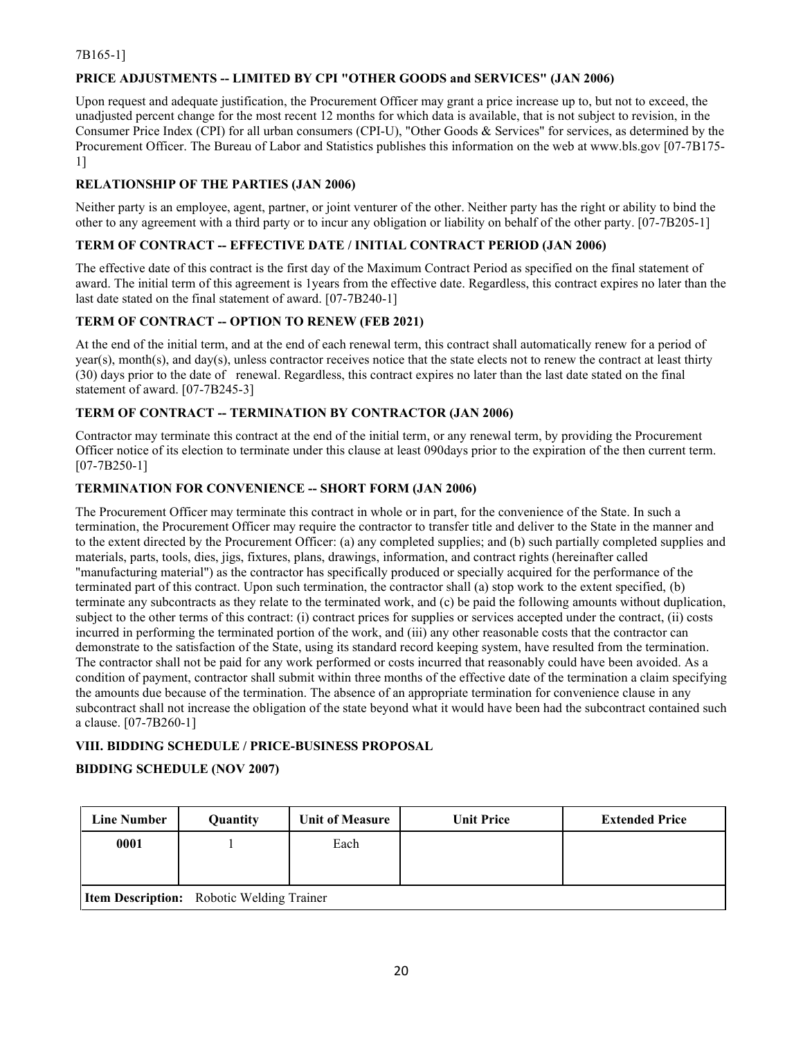## 7B165-1]

## **PRICE ADJUSTMENTS -- LIMITED BY CPI "OTHER GOODS and SERVICES" (JAN 2006)**

Upon request and adequate justification, the Procurement Officer may grant a price increase up to, but not to exceed, the unadjusted percent change for the most recent 12 months for which data is available, that is not subject to revision, in the Consumer Price Index (CPI) for all urban consumers (CPI-U), "Other Goods & Services" for services, as determined by the Procurement Officer. The Bureau of Labor and Statistics publishes this information on the web at www.bls.gov [07-7B175- 1]

## <span id="page-19-0"></span>**RELATIONSHIP OF THE PARTIES (JAN 2006)**

Neither party is an employee, agent, partner, or joint venturer of the other. Neither party has the right or ability to bind the other to any agreement with a third party or to incur any obligation or liability on behalf of the other party. [07-7B205-1]

## <span id="page-19-1"></span>**TERM OF CONTRACT -- EFFECTIVE DATE / INITIAL CONTRACT PERIOD (JAN 2006)**

The effective date of this contract is the first day of the Maximum Contract Period as specified on the final statement of award. The initial term of this agreement is 1years from the effective date. Regardless, this contract expires no later than the last date stated on the final statement of award. [07-7B240-1]

## <span id="page-19-2"></span>**TERM OF CONTRACT -- OPTION TO RENEW (FEB 2021)**

At the end of the initial term, and at the end of each renewal term, this contract shall automatically renew for a period of year(s), month(s), and day(s), unless contractor receives notice that the state elects not to renew the contract at least thirty (30) days prior to the date of renewal. Regardless, this contract expires no later than the last date stated on the final statement of award. [07-7B245-3]

#### <span id="page-19-3"></span>**TERM OF CONTRACT -- TERMINATION BY CONTRACTOR (JAN 2006)**

Contractor may terminate this contract at the end of the initial term, or any renewal term, by providing the Procurement Officer notice of its election to terminate under this clause at least 090days prior to the expiration of the then current term. [07-7B250-1]

## **TERMINATION FOR CONVENIENCE -- SHORT FORM (JAN 2006)**

The Procurement Officer may terminate this contract in whole or in part, for the convenience of the State. In such a termination, the Procurement Officer may require the contractor to transfer title and deliver to the State in the manner and to the extent directed by the Procurement Officer: (a) any completed supplies; and (b) such partially completed supplies and materials, parts, tools, dies, jigs, fixtures, plans, drawings, information, and contract rights (hereinafter called "manufacturing material") as the contractor has specifically produced or specially acquired for the performance of the terminated part of this contract. Upon such termination, the contractor shall (a) stop work to the extent specified, (b) terminate any subcontracts as they relate to the terminated work, and (c) be paid the following amounts without duplication, subject to the other terms of this contract: (i) contract prices for supplies or services accepted under the contract, (ii) costs incurred in performing the terminated portion of the work, and (iii) any other reasonable costs that the contractor can demonstrate to the satisfaction of the State, using its standard record keeping system, have resulted from the termination. The contractor shall not be paid for any work performed or costs incurred that reasonably could have been avoided. As a condition of payment, contractor shall submit within three months of the effective date of the termination a claim specifying the amounts due because of the termination. The absence of an appropriate termination for convenience clause in any subcontract shall not increase the obligation of the state beyond what it would have been had the subcontract contained such a clause. [07-7B260-1]

#### <span id="page-19-4"></span>**VIII. BIDDING SCHEDULE / PRICE-BUSINESS PROPOSAL**

#### **BIDDING SCHEDULE (NOV 2007)**

| <b>Line Number</b>                               | Quantity | <b>Unit of Measure</b> | <b>Unit Price</b> | <b>Extended Price</b> |
|--------------------------------------------------|----------|------------------------|-------------------|-----------------------|
| 0001                                             |          | Each                   |                   |                       |
|                                                  |          |                        |                   |                       |
| <b>Item Description:</b> Robotic Welding Trainer |          |                        |                   |                       |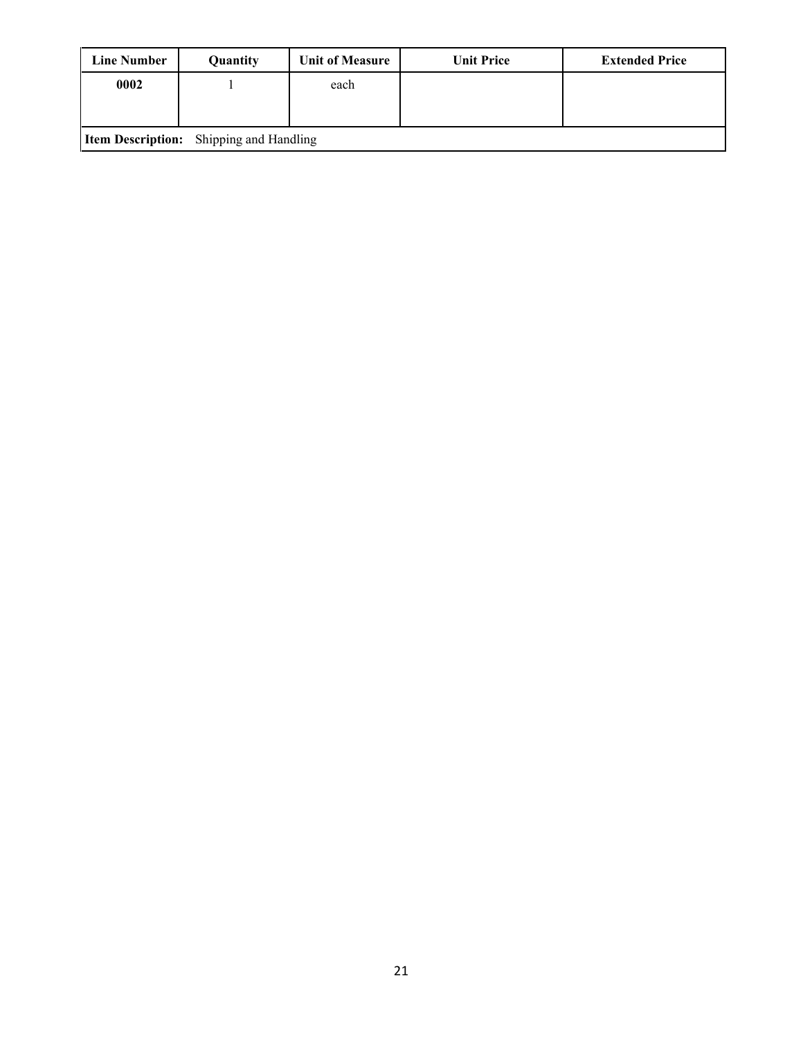| <b>Line Number</b> | <b>Quantity</b>                                | <b>Unit of Measure</b> | <b>Unit Price</b> | <b>Extended Price</b> |
|--------------------|------------------------------------------------|------------------------|-------------------|-----------------------|
| 0002               |                                                | each                   |                   |                       |
|                    |                                                |                        |                   |                       |
|                    | <b>Item Description:</b> Shipping and Handling |                        |                   |                       |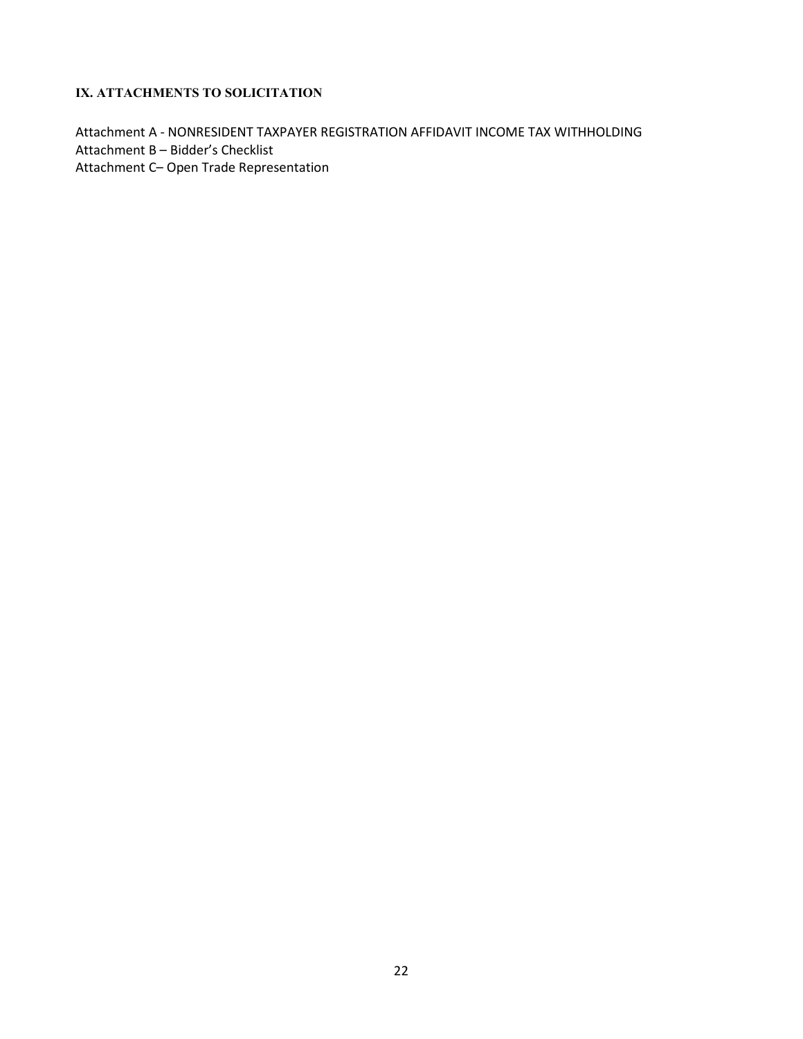## <span id="page-21-0"></span>**IX. ATTACHMENTS TO SOLICITATION**

Attachment A - NONRESIDENT TAXPAYER REGISTRATION AFFIDAVIT INCOME TAX WITHHOLDING Attachment B – Bidder's Checklist Attachment C– Open Trade Representation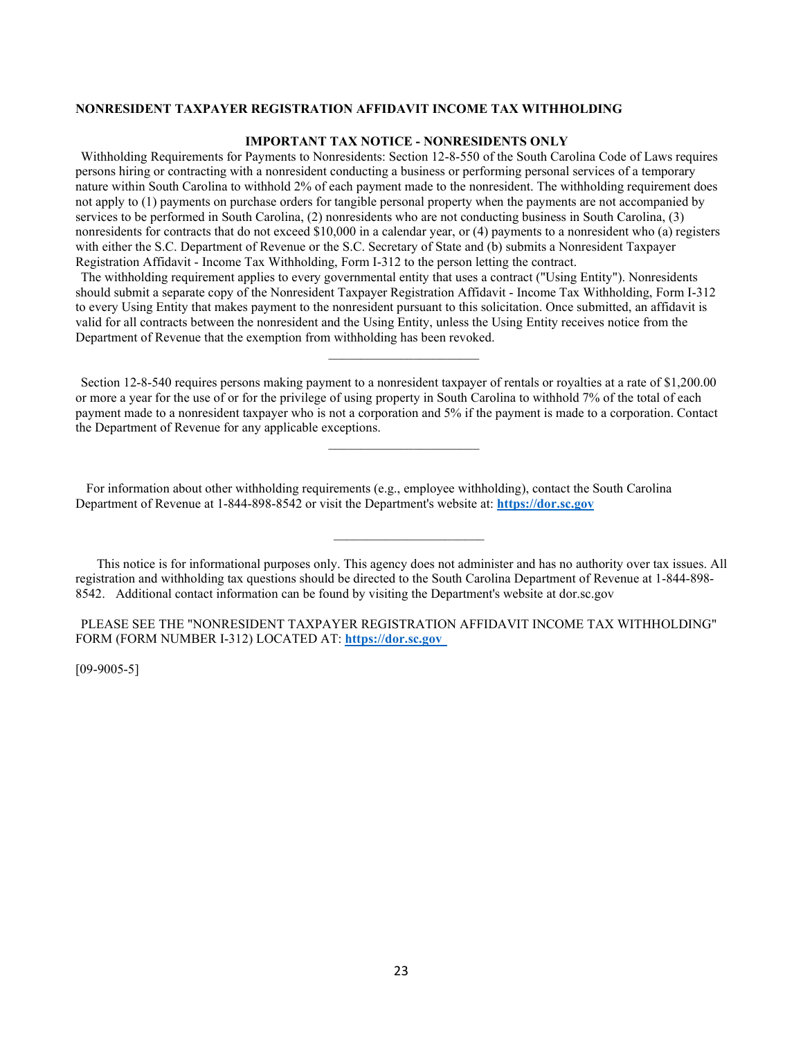#### <span id="page-22-0"></span>**NONRESIDENT TAXPAYER REGISTRATION AFFIDAVIT INCOME TAX WITHHOLDING**

#### **IMPORTANT TAX NOTICE - NONRESIDENTS ONLY**

Withholding Requirements for Payments to Nonresidents: Section 12-8-550 of the South Carolina Code of Laws requires persons hiring or contracting with a nonresident conducting a business or performing personal services of a temporary nature within South Carolina to withhold 2% of each payment made to the nonresident. The withholding requirement does not apply to (1) payments on purchase orders for tangible personal property when the payments are not accompanied by services to be performed in South Carolina, (2) nonresidents who are not conducting business in South Carolina, (3) nonresidents for contracts that do not exceed \$10,000 in a calendar year, or (4) payments to a nonresident who (a) registers with either the S.C. Department of Revenue or the S.C. Secretary of State and (b) submits a Nonresident Taxpayer Registration Affidavit - Income Tax Withholding, Form I-312 to the person letting the contract.

The withholding requirement applies to every governmental entity that uses a contract ("Using Entity"). Nonresidents should submit a separate copy of the Nonresident Taxpayer Registration Affidavit - Income Tax Withholding, Form I-312 to every Using Entity that makes payment to the nonresident pursuant to this solicitation. Once submitted, an affidavit is valid for all contracts between the nonresident and the Using Entity, unless the Using Entity receives notice from the Department of Revenue that the exemption from withholding has been revoked.

 $\overline{\phantom{a}}$  , and the set of the set of the set of the set of the set of the set of the set of the set of the set of the set of the set of the set of the set of the set of the set of the set of the set of the set of the s

Section 12-8-540 requires persons making payment to a nonresident taxpayer of rentals or royalties at a rate of \$1,200.00 or more a year for the use of or for the privilege of using property in South Carolina to withhold 7% of the total of each payment made to a nonresident taxpayer who is not a corporation and 5% if the payment is made to a corporation. Contact the Department of Revenue for any applicable exceptions.

 $\overline{\phantom{a}}$  , and the set of the set of the set of the set of the set of the set of the set of the set of the set of the set of the set of the set of the set of the set of the set of the set of the set of the set of the s

 For information about other withholding requirements (e.g., employee withholding), contact the South Carolina Department of Revenue at 1-844-898-8542 or visit the Department's website at: **[https://dor.sc.gov](https://dor.sc.gov/)**

 This notice is for informational purposes only. This agency does not administer and has no authority over tax issues. All registration and withholding tax questions should be directed to the South Carolina Department of Revenue at 1-844-898- 8542. Additional contact information can be found by visiting the Department's website at dor.sc.gov

 $\mathcal{L}=\{L_1,\ldots,L_{n-1},\ldots,L_{n-1},\ldots,L_{n-1},\ldots,L_{n-1},\ldots,L_{n-1},\ldots,L_{n-1},\ldots,L_{n-1},\ldots,L_{n-1},\ldots,L_{n-1},\ldots,L_{n-1},\ldots,L_{n-1},\ldots,L_{n-1},\ldots,L_{n-1},\ldots,L_{n-1},\ldots,L_{n-1},\ldots,L_{n-1},\ldots,L_{n-1},\ldots,L_{n-1},\ldots,L_{n-1},\ldots,L_{n-1},\ldots,L_{n-1},\ldots,L_{n-1},\ldots,L_{n-1},\ld$ 

PLEASE SEE THE "NONRESIDENT TAXPAYER REGISTRATION AFFIDAVIT INCOME TAX WITHHOLDING" FORM (FORM NUMBER I-312) LOCATED AT: **[https://dor.sc.gov](https://dor.sc.gov/)** 

 $[09-9005-5]$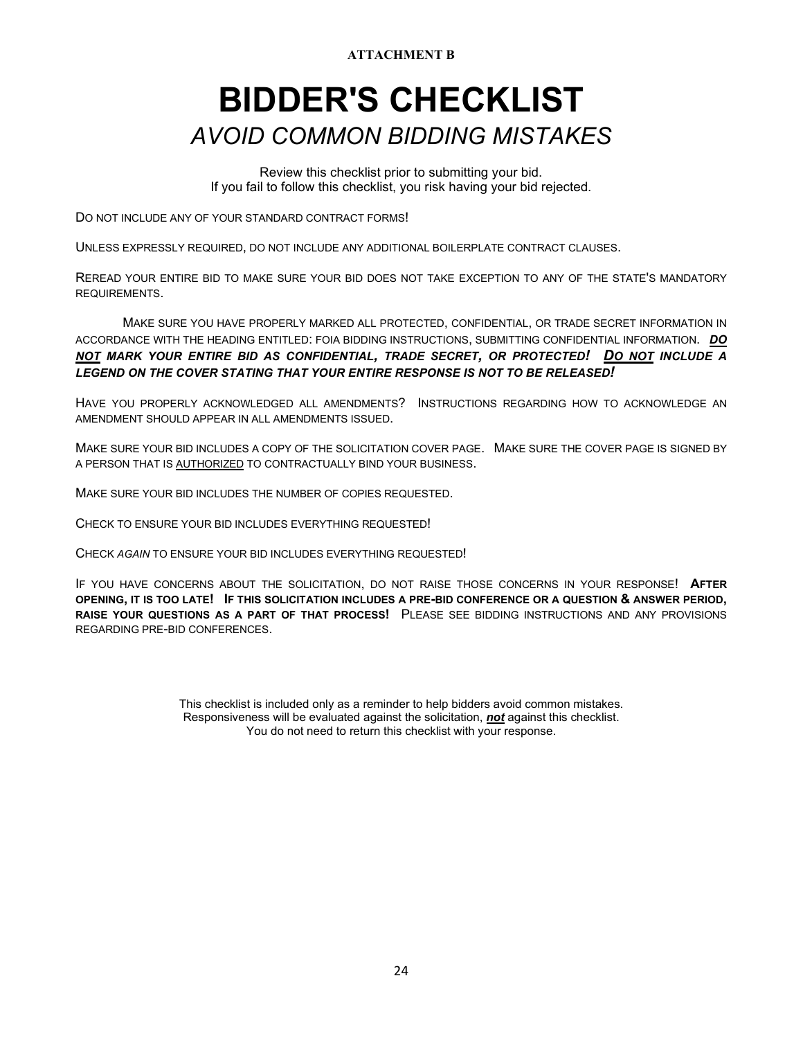**ATTACHMENT B**

# <span id="page-23-1"></span><span id="page-23-0"></span>**BIDDER'S CHECKLIST** *AVOID COMMON BIDDING MISTAKES*

Review this checklist prior to submitting your bid. If you fail to follow this checklist, you risk having your bid rejected.

DO NOT INCLUDE ANY OF YOUR STANDARD CONTRACT FORMS!

UNLESS EXPRESSLY REQUIRED, DO NOT INCLUDE ANY ADDITIONAL BOILERPLATE CONTRACT CLAUSES.

REREAD YOUR ENTIRE BID TO MAKE SURE YOUR BID DOES NOT TAKE EXCEPTION TO ANY OF THE STATE'S MANDATORY REQUIREMENTS.

 MAKE SURE YOU HAVE PROPERLY MARKED ALL PROTECTED, CONFIDENTIAL, OR TRADE SECRET INFORMATION IN ACCORDANCE WITH THE HEADING ENTITLED: FOIA BIDDING INSTRUCTIONS, SUBMITTING CONFIDENTIAL INFORMATION. *DO NOT MARK YOUR ENTIRE BID AS CONFIDENTIAL, TRADE SECRET, OR PROTECTED! DO NOT INCLUDE A LEGEND ON THE COVER STATING THAT YOUR ENTIRE RESPONSE IS NOT TO BE RELEASED!*

HAVE YOU PROPERLY ACKNOWLEDGED ALL AMENDMENTS? INSTRUCTIONS REGARDING HOW TO ACKNOWLEDGE AN AMENDMENT SHOULD APPEAR IN ALL AMENDMENTS ISSUED.

MAKE SURE YOUR BID INCLUDES A COPY OF THE SOLICITATION COVER PAGE. MAKE SURE THE COVER PAGE IS SIGNED BY A PERSON THAT IS AUTHORIZED TO CONTRACTUALLY BIND YOUR BUSINESS.

MAKE SURE YOUR BID INCLUDES THE NUMBER OF COPIES REQUESTED.

CHECK TO ENSURE YOUR BID INCLUDES EVERYTHING REQUESTED!

CHECK *AGAIN* TO ENSURE YOUR BID INCLUDES EVERYTHING REQUESTED!

IF YOU HAVE CONCERNS ABOUT THE SOLICITATION, DO NOT RAISE THOSE CONCERNS IN YOUR RESPONSE! **AFTER OPENING, IT IS TOO LATE! IF THIS SOLICITATION INCLUDES A PRE-BID CONFERENCE OR A QUESTION & ANSWER PERIOD, RAISE YOUR QUESTIONS AS A PART OF THAT PROCESS!** PLEASE SEE BIDDING INSTRUCTIONS AND ANY PROVISIONS REGARDING PRE-BID CONFERENCES.

> This checklist is included only as a reminder to help bidders avoid common mistakes. Responsiveness will be evaluated against the solicitation, *not* against this checklist. You do not need to return this checklist with your response.